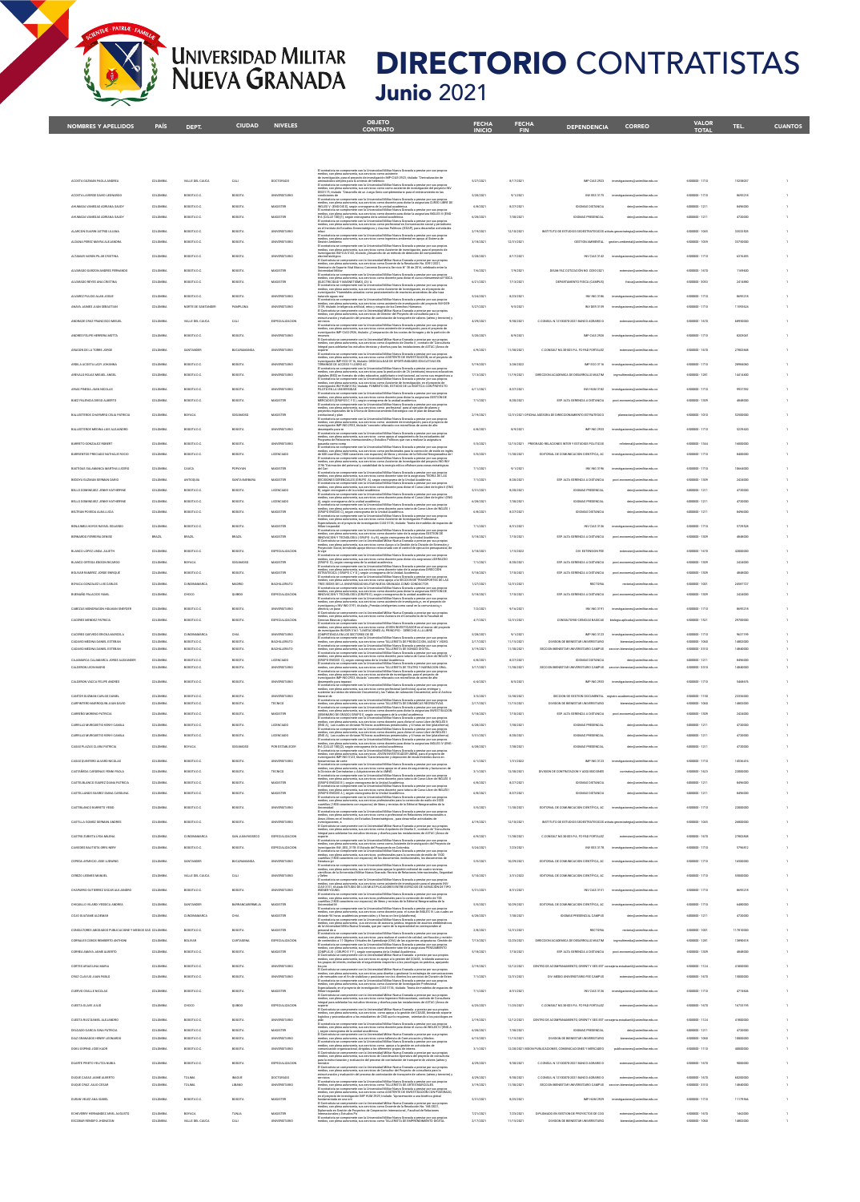## **DIRECTORIO** CONTRATISTAS **Junio 2021**

| <b>NOMBRES Y APELLIDOS</b>                                            | <b>PAÍS</b>          | DEPT.                      | <b>CIUDAD</b>                 | <b>NIVELES</b>                    | <b>OBJETO</b><br><b>CONTRATO</b>                                                                                                                                                                                                                                                                                                                                                                                                                                            | <b>FECHA</b><br><b>INICIO</b> | <b>FECHA</b><br><b>FIN</b> | <b>DEPENDENCIA</b>                                                                     | <b>CORREO</b>                                                        | <b>VALOR</b><br><b>TOTAL</b>   | TEL.                | <b>CUANTOS</b> |
|-----------------------------------------------------------------------|----------------------|----------------------------|-------------------------------|-----------------------------------|-----------------------------------------------------------------------------------------------------------------------------------------------------------------------------------------------------------------------------------------------------------------------------------------------------------------------------------------------------------------------------------------------------------------------------------------------------------------------------|-------------------------------|----------------------------|----------------------------------------------------------------------------------------|----------------------------------------------------------------------|--------------------------------|---------------------|----------------|
|                                                                       |                      |                            |                               |                                   |                                                                                                                                                                                                                                                                                                                                                                                                                                                                             |                               |                            |                                                                                        |                                                                      |                                |                     |                |
|                                                                       |                      |                            |                               |                                   |                                                                                                                                                                                                                                                                                                                                                                                                                                                                             |                               |                            |                                                                                        |                                                                      |                                |                     |                |
|                                                                       |                      |                            |                               |                                   | va Granada a prestar por sus propio                                                                                                                                                                                                                                                                                                                                                                                                                                         |                               |                            |                                                                                        |                                                                      |                                |                     |                |
| ACOSTA GUZMAN PACLA ANDREA                                            | COLOMBIA             | VALLE DEL CAUCA            | CALL                          | DOCTORADO                         | RREBEIX<br>Jos, con plena autonomía, sua servicios como asistente<br>reestgación, para el proyecto de investigación IMP-CIAS-2923, titulado: "Derivatización de<br>noácidos simples para la sintesia de heterocic<br>ontrálista se comprom<br>eto IW                                                                                                                                                                                                                        | 5/27/202                      | 8/17/2021                  | MP CIAS 2923                                                                           | investigaciones@unimilitar.edu.co                                    | 6500000 - 1710                 | 15258037            |                |
| ACOSTA LAVERDE DAVID LEONARDO                                         | COLOMBIA             | BOGOTA D.C.                | BOGOTA                        | UNIVERSITARIO                     | medios, con plena autonomía, sus servicios como como asistente de investigación del proyecto.<br>EES3175; titúado "Desamolo de un Juego Serio complementario para el entrenamiento en las<br>ondiciones de<br>I Contextista se compromete con la Universidad Militar Nueva Granada a prestar por sus propios<br>vedios, con plena autonomía, sus servicios como docente para dicira la asignatura CURSO LIBNE DE<br>NGLES V (ENG-DES                                        | 5/20/2021                     | 9/1/2021                   | INV EES 3175                                                                           | ones@unimilitar.edu.co                                               | 6500000-1710                   | 8695218             |                |
| AHUMADA VANEGAS ADRIANA SAUDY<br>AHUMADA VANEGAS ADRIANA SAUDI        | COLOMBU              | BOGOTA D.C.<br>BOGDTA D.C  | <b>BOGOTA</b><br><b>BOGOT</b> | MAGISTER<br>MAGISTER              | El contratista se compromeis con la Universidad Militar Navea Canada a prestar por sua propios<br>19 de finales, con plena autores más en la Universidad Militar Navea Canada a prestar por sua propios<br>19 de (CALLE 100)(1), aep                                                                                                                                                                                                                                        | 6/8/202<br>6/28/202           | 8/27/2021                  | <b>DIOMAS DISTANCIA</b><br><b>DIOMAS PRESENCIA</b>                                     | dein@un                                                              | 6000000-1211<br>6000000 - 1211 | BA960CC             |                |
| ALARCON GUARIN ASTRID LILIANA                                         | COLOMBU              | BOGOTA D.C.                | <b>BOGOTA</b>                 | <b>UNIVERSITARIO</b>              | en el Instituto de Estudios Geoestratégicos y Asuntos Políticos (IEGAP), para desamolar actividades                                                                                                                                                                                                                                                                                                                                                                         | 2/19/2021                     | 12/10/2021                 | INSTITUTO DE ESTUDIOS GEOESTRATEGICOS atituto.geoestrategia@unimilitar.edu.co          |                                                                      | 6500000-1045                   | 33533505            |                |
| ALDANA PEREZ MAYRA ALEJANDRA                                          | COLOMBI.             | BOGOTA D.C.                | BOGOTA                        | <b>UNIVERSITARIO</b>              | <br>El contratista se compromete con la Universidad Militar Nueva Granada a prestar por sus propie<br>medion, con plena autonomía, sus servicios como Ingeniera ambiental en apoyo al Sistema de<br>Gestión Atribienta<br>scorrete con la Universidad Militar Nueva Granada a prestar por sus pro                                                                                                                                                                           | 3/18/202                      | 12/31/2021                 |                                                                                        | GESTION AMBIENTAL gestion ambiental@unimilitar.edu.co                | 6500000-1039                   |                     |                |
| ALTAMAR VARON PILAR CRISTINA                                          | COLOMBIA             | BOGOTA D.C.                | BOGOTA                        | UNIVERSITARIO                     | medios, con plena autonomía, sus servicios como Asistente de investigación, para el<br>Investigación IWV-CIA-3142, titulado ¿Desanollo de un método de detección de comp<br>electrofisiológica<br>westigación, para el proy<br>ecto de                                                                                                                                                                                                                                      | 5/28/2021                     | 8/17/2021                  |                                                                                        | INV CIAS 3142 investigaciones@unimilitar.edu.co                      | 6500000-1710                   | 6376493             |                |
| ALVARADO CARZON ANDRES EFRIMANDO                                      | COLOMBIA             | BOGOTA D.C.                | BOGOTA                        | MAGISTER                          |                                                                                                                                                                                                                                                                                                                                                                                                                                                                             | 7/6/2021                      | 7/9/2021                   | DISAN FAC COTIZACIÓN NO. 0030-2021                                                     | extension@unimilitar.edu.co                                          | 6500000-1670                   | 1169600             |                |
| ALVARADO REYES ANA CRISTINA                                           | COLOMBIA             | BOGOTA D.C.                | BOGOTA                        | MAGISTER                          | oi revisioni comunitativamente con la Universidad Militar Nueva Granada a prestar por sua propios<br>Triontesitata sue compromenta, sus servicios como docente para dictar el curso intersementral FISICA<br>(ELECTRICEND Y MAGNETIS<br>ruma: Havroy, um ri.<br>rpromete con la Universidad Militar Nueva Granada a prestar por sus propios                                                                                                                                 | 6/21/2021                     | 7/13/2021                  | DEPARTAMENTO FISICA (CAMPUS)                                                           | fisica@unimilitar.edu.co                                             | 6500000-3053                   | 2414880             | J.             |
| ALVAREZ PULIDO ALAN JOSUE                                             | COLOMBIA             | BOGOTA D.C.                | <b>ATODOB</b>                 | UNIVERSITARIO                     | edios, con plena autonomía, sus servicios como Asistente de Investigación, en el proyect<br>vestigación "Mumedales aireados como postratamiento de reactores anaerobios de alta t                                                                                                                                                                                                                                                                                           | 5/24/2021                     | 8/23/2021                  | INV ING 3186                                                                           | mimilitar arbs co                                                    | 6500000-1710                   | 8695218             |                |
| <b>ANAVA IAIMES IIIAN SERASTIAN</b>                                   | COLOMBIA             | NORTE DE SANTANDER         | PAMPLONA                      | UNIVERSITARIO                     | Instanto aguan resi<br>En capacidades de la construcción de la Universidad Militar Maria Canadala a partica por una propiaza<br>En cadas Estas julios inteligancia de la convictió como asilaterás de investigación del proyecto MVC                                                                                                                                                                                                                                        | 5/27/2021                     | 9/5/2021                   | INV DER 3159                                                                           | ones@unimilitar.edu.co                                               | 6500000-1710                   | 11593624            | J.             |
| ANDRADE CRUZ FRANCISCO MIGUEL                                         | COLOMBIA             | VALLE DEL CAUCA            | CALL                          | ESPECIALIZACION                   | eurucionamo.<br>El contrativa se compromete con la Universidad Militar Nueva Granada a prestar por sus propios<br>Predice, con plena autonomía, sus servicios como asistente de investigación, para el proyecto de<br>investigación IMP                                                                                                                                                                                                                                     | 4/29/2021                     | 9/30/2021                  | C.CONSUL N.12100070-2021 BANCO AGRARIO D                                               | extension@unimilitar.edu.co                                          | 6500000-1670                   | 68950000            |                |
| ANDRES FELIPE HERRERA MOTTA                                           | COLOMBIA             | BOGOTA D.C.                | <b>BOGOTA</b>                 | <b>UNIVERSITARIO</b>              | ressesses<br>El Contratiuta se compromete con la Universidad Militar Nueva Granada a prestar por sus propios<br>Imedios, con plena autonomía, sus servicios como Arquitecto de Diseño II : contrato de "Consultoris                                                                                                                                                                                                                                                         | 5/20/2021                     | 8/9/2021                   | IMP CIAS 2926                                                                          | investigaciones@unimilitar.edu.co                                    | 6500000-1710                   | 8203041             | J.             |
| ARAGON DE LA TORRE JORGE                                              | COLOMBIA             | SANTANDER                  | <b>BUCARAMANGA</b>            | <b>UNIVERSITARIO</b>              | Integral para adelantar los estudios técnicos y diseños para las instalaciones de ASTAC (Áreas de                                                                                                                                                                                                                                                                                                                                                                           | 6/9/2021                      | 11/10/2021                 | C.CONSULT NO.30-003 PA. FC-PAD FORTALEZ                                                | exteraion@unimilitar.edu.co                                          | 6500000-1670                   | 27802848            |                |
| ARDILA ACOSTA LADY JOHANNA                                            | COLOMBU              | BOGOTA D.C.                | <b>BOGOTA</b>                 | <b>UNIVERSITARIO</b>              |                                                                                                                                                                                                                                                                                                                                                                                                                                                                             | 5/19/2021                     | 3/28/2022                  | IMP ECO 3116                                                                           |                                                                      | 6500000-1710                   | 28984060            |                |
| AREVALO ROJAS MIGUEL ANGEL                                            | COLOMBU              | BOGOTA D.C.                | <b>BOGOTA</b>                 | <b>UNIVERSITARIO</b>              |                                                                                                                                                                                                                                                                                                                                                                                                                                                                             | 7/13/2021                     | 11/19/2021                 | DIRECCION ACADEMICA DE DESARROLLO MULTIM                                               | ingmu<br>ilitar edu co                                               | 6500000-1281                   | 14414400            |                |
| ARIAS PINEDA JUAN NICOLAS                                             | COLOMBU              | BOGOTA D.C.                | <b>BOGOTA</b>                 | <b>UNIVERSITARIO</b>              |                                                                                                                                                                                                                                                                                                                                                                                                                                                                             | 6/11/202                      | 8/27/2021                  | INV HUM 3182                                                                           |                                                                      | 6500000-1710                   | control             |                |
| MEZ PALENCIA DEGO ALBERTO                                             | COLOMBU              | BOGOTA D.C.                | <b>BOGOTA</b>                 | MAGISTER                          | $\label{eq:1} \begin{minipage}[t]{0.9\textwidth} \begin{itemize} \textit{convex} \cup \textit{vA} \cup \textit{vB} \cap \textit{W} \cap \textit{W} \cap \textit{W} \cap \textit{W} \end{itemize} \begin{itemize} \textit{convex} \cup \textit{vA} \cup \textit{vA} \cup \textit{W} \cap \textit{W} \cap \textit{W} \cap \textit{W} \cap \textit{W} \cap \textit{W} \end{itemize} \begin{itemize} \textit{C} \cap \textit{V} \cap \textit{W} \cap \textit{W} \cap \textit{W$ | 7/1/202                       | 8/20/2021                  | ESP. ALTA GERENCIA A DISTANCIA                                                         |                                                                      | 6500000-1309                   |                     |                |
| <b>BALLESTEROS CHAPARRO CELIA PATRICIA</b>                            |                      | BOYACA                     |                               | MAGISTER                          | nedico, con plena autonomía, sus servicios como  asistente de investigación, para el proye<br>nestigación IMP-ING-2933, titulado "concreto reforzado con microfibras de acero de alto<br>ecto de                                                                                                                                                                                                                                                                            | 2/19/202                      |                            | 12/31/2021 OFICINA ASESORA DE DIRECCIONAMENTO ESTRATEGICO                              | ph                                                                   | 6500000-1010                   |                     |                |
| BALLESTEROS MEDINA LUIS ALEJANDRO                                     | COLOMBIA             | BOGOTA D.C.                | BOGOTA                        | UNIVERSITARIO                     | El contratista se o<br>.<br>npromete con la Universidad Militar Nueva Granada a prestar por sus propios<br>-f======== sus servicios zooro acovo al secuimiento de los estudiantes del                                                                                                                                                                                                                                                                                       | 6/8/2021                      | 8/9/2021                   | IMP ING 2933                                                                           | importing<br>es@unimilitar.edu.co                                    | 6500000-1710                   | 5229420             |                |
| BARRETO GONZALEZ ROBERT                                               | COLOMBIA             | BOGOTA D.C.                | <b>BOGOTA</b>                 | <b>UNIVERSITARIO</b>              | medios, con plena autonomía, sus servicios: como apoyo al seguimiento de los estudiantes:<br>Programa de Relaciones Internacionales y Estudios Políticos que van a realizar la asignatur:<br>nasantía como como                                                                                                                                                                                                                                                             | 5/3/2021                      |                            | 12/15/2021 PREGRADO RELACIONES INTER Y ESTUDIOS POLITICOS                              | relinternal@unimilitar.edu.co                                        | 6500000-1344                   | 16000000            | h,             |
| BARRENTOS PRECIADO NATHALIE ROCIO                                     | COLOMBIA             | BOGOTA D.C.                | BOGOTA                        | LICENCIADO                        | phantitus cono componentia casa la britannia del Milan Music de Antoine de profetto per cua repubblica del Cond<br>El contradicto se consideraba de la consideración de la contradicto de la Eddicitat Music de la conditación<br>E                                                                                                                                                                                                                                         | 5/5/2021                      | 11/30/2021                 | EDITORIAL DE COMUNICACION CIENTÍFICA, AC                                               | mimolitar arts no                                                    | 6500000-1710                   | 8400000             | J.             |
| BASTIDAS SALAMANCA MARTHA LUCERO<br><b>NEDOVA CUZMAN CERMAN DARIO</b> | COLOMBIA<br>COLOMBIA | CAUCA<br>ANTIQQUIA         | POPAYAN<br>SANTA BARBARA      | MAGISTER<br>MAGISTER              | on-Lum<br>Concellent as compromede can la Universidad Millare News General control parameter as an experience of<br>Elizabeth Concellent as compromedes to the University of the Concellent parameter as a<br>Concellent Concellent                                                                                                                                                                                                                                         | 7/1/2021<br>7/1/2021          | 9/1/2021<br>8/20/2021      | INV ING 3196<br>ESP. ALTA GERENCIA A DISTANCIA                                         | investigaciones@unimilitar.edu.co<br>post economia@unimilitar.edu.co | 6500000-1710<br>6500000-1309   | 10664000<br>2424000 | J.             |
| BELLO DOMINGUEZ JENNY KATHERYNE                                       | COLOMBIA             | BOGOTA D.C.                | <b>ATODOB</b>                 | LICENCIADO                        |                                                                                                                                                                                                                                                                                                                                                                                                                                                                             | 5/31/2021                     | 8/20/2021                  | <b>INCIAAS DOFSTACIAL</b>                                                              | delničk<br>militar edu co                                            | 6000000-1211                   | 4720000             |                |
| BELLO DOMINGUEZ JENNY KATHERINE                                       | COLOMBU              | BOGOTA D.C.                | <b>BOGOTA</b>                 | LICENCIADO                        | B), and in comparison de la suchada condética.<br>Consideration de comparison de la suche annul de la suche de la suche de la suche de la propincia del suche d<br>Consideration de la successivativa de la successivació del del s                                                                                                                                                                                                                                         | 6/28/202                      | 7/30/2021                  | <b>IDIOMAS PRESENCIA</b>                                                               | dein@unimilitar.edu.co                                               | 6000000-1211                   | 4720000             |                |
| BELTRAN POVEDA ALBA LUCIA                                             |                      | BOGOTA D.C                 | BOGOTA                        | MAGISTER                          |                                                                                                                                                                                                                                                                                                                                                                                                                                                                             | 6/8/202                       | 8/27/2021                  | <b>DIOMAS DISTANCE</b>                                                                 | dein@u                                                               | 6000000 - 1211                 |                     |                |
| BENJUMEA HOYOS RAFAEL EDUARDO                                         | COLOMBIA             | BOGOTA D.C.                | BOGOTA                        | MAGISTER                          | us colonismos de comparamente com un octrimismoso remais reserva consistente por insular por una propiosa.<br>Energicial cardio per la propiochia sua servicios como Asistente de Investigación Profesional.<br>Especializado, en el                                                                                                                                                                                                                                        | 7/1/2021                      | 8/31/2021                  | INV CIAS 3136                                                                          | investigaciones@unimilitar.edu.co                                    | 6500000-1710                   | 5729528             | J.             |
| RDO FERREIRA DENISE                                                   | BRAZI                | BRAZIL                     | <b>BRAZIL</b>                 | MAGISTER                          | visioni visualismo compromete con la Universidad Militar Nueva Granada a prestar por sua propios<br>medica, con plena autonomia, sua servicios como docente tutor de la asignatura GESTION DE<br>NNOVACION Y TECNOLOGIA (GREPO A y f<br>idios, con plena autonomía, sus xervicios como Apoyo a la Gestión de la División de Exten<br>oyección Social, brindando apoyo técrico relacionado con el control de ejecución presupu                                               | 5/18/2021                     | 7/10/2021                  | ESP. ALTA GERENCIA A DISTANCIA                                                         |                                                                      | 6500000-1309                   |                     |                |
| BLANCO LOPEZ LINDA JULIETH<br>BLANCO ORTEGA EDISON RICARDO            | COLOMBIA<br>COLOMBI. | BOGOTA D.C.<br>BOYACA      | BOGOTA                        | ESPECIALIZACION<br>MAGISTER       |                                                                                                                                                                                                                                                                                                                                                                                                                                                                             | 3/18/2021<br>7/1/202          | 1/15/2022<br>8/20/2021     | DIV. EXTENSION FEE<br>ESP. ALTA GERÉNCIA A DISTANCIA                                   | extension@unimilitar.edu.co                                          | 6500000-1670<br>6500000-1309   | 42000000<br>242400  |                |
| BOLIVAR RAMIREZ JORGE ENRIQUE                                         | COLOMBI.             | BOGOTA D.C.                | <b>BOGOTA</b>                 | MAGISTER                          | is view $\Box$<br>Excellential as components can be therefore that Miller News Grands a prestar par any project<br>$\Box$ contributes as components of the trial detailed<br>three capacity and the contribution of the contribution of                                                                                                                                                                                                                                     | 5/18/2021                     | 7/10/2021                  | ESP. ALTA GERENCIA A DISTANCIA                                                         | post.e                                                               | 6500000-1309                   |                     |                |
| BOYACA GONZALEZ LUIS CARLOS                                           | COLOMBU              | CUNDINAMARCA               | MADRID                        | BACHILLERATO                      | $\overline{E}$ containing as comproments can be investmented Minter House, Granda a present propriet in the comprometer state in the contact of the comprometer of the comprometer of the comprometer of the comprometer of the com                                                                                                                                                                                                                                         | 1/27/2021                     | 12/31/2021                 | RECTORIA                                                                               | rectoria@unimilitar.edu.co                                           | 6500000-1001                   | 24587727            |                |
| BUENAÑO PALACIOS YAMIL                                                | COLOMBU              | CHOCO                      | quapo                         | ESPECIALIZACION                   |                                                                                                                                                                                                                                                                                                                                                                                                                                                                             | 5/18/202                      | 7/10/2021                  | ESP. ALTA GERENCIA A DISTANCIA                                                         | post.eco<br>militar edu co                                           | 6500000-1309                   | 2424000             |                |
| CABEZAS MONDRAGON HOLMAN SNEYDER                                      | COLOMBU              | BOGOTA D.C.                | <b>BOGOTA</b>                 | <b>UNIVERSITARIO</b>              | rmetos, con para autorsenta, xus aervicios conto autilente de investigacio,n, en el proyecto de<br>investigacio;n INV-ING-3191, studado ¿Prendas inteligentes como canal en la corrunicacio;n<br>il Corindizia se comprende con la U                                                                                                                                                                                                                                        | 7/2/202                       | 9/16/2021                  | INV ING 3191                                                                           |                                                                      | 6500000 - 1710                 | 8695218             |                |
| CACERES MENDEZ PATRICIA                                               | COLOMBIA             | BOGOTA D.C.                | BOGOTA                        | ESPECIALIZACION                   | medios, con plena autonoma, italiens-sous-sous-sous-<br>Cencius Básicas y Aplicadas, con la Universidad Millar Navo Garanda a praelar por sus propios<br>medios, con plena autonomia, aus annivirso contro JOVEN INVESTIGACIÓN en el                                                                                                                                                                                                                                        | 4/7/2021                      | 12/31/2021                 | CONSULTORIO-CIENCIAS BASICAS                                                           | biologia aplicada@unimilitar.edu.co                                  | 6500000-1521                   | 29700000            |                |
| CACERES QUEVEDO ERICKA MARCELA<br>CADAVID MEDINA DANIEL ESTEBAN       | COLOMBIA<br>COLOMBIA | BOGOTA D.C.                | CHA<br><b>BOGOTA</b>          | INVENTION<br>BACHILLERATO         | edios, con plena autonomía, sus servicios como TALLERISTA DE PRODUCCION, AUDIO Y VIDEO                                                                                                                                                                                                                                                                                                                                                                                      | 5/28/2021<br>2/17/2021        | 9/1/202<br>11/15/2021      | IMP ING 3123<br>DIVISION DE BIENESTAR UNIVERSITARIO                                    | bienestar@unimilitar.edu.co                                          | 6500000-1710<br>6500000 - 1060 | 0637101<br>14802000 |                |
| CADAVID MEDINA DANIEL ESTEBAN                                         | COLOMBU              | BOGOTA D.C.                | <b>BOGOTA</b>                 | BACHILLERATO                      | El contratista se compromete con la Universidad Militar Nueva Granada a prestar por sus propios<br>medios, con plena autonomía, sus servicios como TALLERSTA DE SONIDO DIGITAL.<br>El contratista se compromete con la Universidad M                                                                                                                                                                                                                                        | 3/19/202                      | 11/10/2021                 | SECCION BENESTAR UNIVERSITARIO CAMPUS                                                  |                                                                      | 6500000 - 3310                 | 14840000            |                |
| CAJAMARCA CAJAMARCA JORGE ALEXANDER<br>CALDERON LEON MARIO            | COLOMBIA<br>COLOMBIA | BOGOTA D.C.<br>BOGOTA D.C. | <b>BOGOTA</b><br>BOGOTA       | LICENCIADO<br>UNIVERSITARIO       | ci contrastas ae compromese con la universidad nella federa della partesa apertano per suoi propiosi.<br>Tradicio, con plena automomia, sua servicios como docente, para bibbila de Curso Libre de INGLÉS: V<br>(CALIPO ENGOIS: C),<br>ista se compromete con la Universidad Militar Nueva Granada a prestar por sus propio<br>El contrat                                                                                                                                   | 6/8/2021<br>3/17/2021         | 8/27/2021<br>11/30/2021    | <b>IDIOMAS DISTANCIA</b><br>SECCION BIENESTAR UNIVERSITARIO CAMPUS                     | dein@unimilitar.edu.co<br>seccion.bienestar@unimilitar.edu.co        | 6000000-1211<br>6500000-3310   | 8496000<br>14840000 | J.             |
| CALDERON VACCA FELIPE ANDRES                                          | COLOMBIA             | BOGOTA D.C.                | <b>BOGOTA</b>                 | <b>UNIVERSITARIO</b>              | medico, con plena autonomía, sus servicios asistente de investigación, para el proyecto de<br>nvestigación IMP-ING-2933, títulado "concreto reforzado con microfíbras de acero de alto<br>esempeño para reparaci                                                                                                                                                                                                                                                            | 6/4/2021                      | 8/5/2021                   |                                                                                        | IMP ING 2933 investigaciones@unimilitar.edu.co                       | 6500000-1710                   | 5468676             | J.             |
| CANTOR GUZMAN CARLOS DANIEL                                           | COLOMBIA             | BOGOTA D.C.                | BOGOTA                        | <b>UNIVERSITARIO</b>              | lesempeto para reparaci<br>l'icontratista se compromete, con la Universidad Militar Noava Granada a prestar por sus propios<br>nedos, con plena autonomia, sus servicios como profesional (archivista) ajustar, emiregar y<br>sustentar                                                                                                                                                                                                                                     | 3/3/2021                      | 12/10/2021                 | SECCION DE GESTION DOCUMENTAL registro.academico@unimilitax edu.co                     |                                                                      | 6500000-1150                   | 23356000            |                |
| CARPINTERO MARROQUIN JUAN DAVID<br>CARREÑO MORENO PATRICIA            | COLOMBIA             | BOGOTA D.C.<br>BOGOTA D.C. | BOGOTA<br>BOGOTA              | TECNICO<br>MAGISTER               | El contratista se compromete con la Universidad Militar Nueva Granada a prestar por sus propio.<br>medios, con plena autonomía, sus servicios como TALLERISTA DE DINAMICAS RECREATIVAS.<br>realizes, con plena auzonorma, una anviocea corre vessavezera se serveveste a messa, con una constanta por pos<br>il contratiuta se compromete con la Universidad Militar Navea Granada a prestar por una propios<br>realios, con pl                                             | 2/17/2021<br>5/18/202         | 11/15/2021<br>7/10/2021    | DIVISION DE BIENESTAR UNIVERSITARIO<br>ESP. ALTA GERENCIA A DISTANCIA                  | bienestar@unimilitar.edu.co<br>posteco                               | 6500000-1060<br>6500000-1309   | 14802000<br>242400  |                |
| CARRILLO MURGUEITIO KENYI CAMILA                                      | COLOMBI.             | BOGOTA D.C                 | BOGOTA                        | LICENCIADO                        |                                                                                                                                                                                                                                                                                                                                                                                                                                                                             | 6/28/2021                     | 7/30/2021                  | <b>DIOMAS PRESENCIAL</b>                                                               |                                                                      | 6000000-1211                   |                     |                |
| CARRILLO MURGUEITIO KENYI CAMILA                                      | COLOMBIA             | BOGOTA D.C.                | BOGOTA                        | LICENCIADO                        | $\begin{minipage}[t]{. \textbf{[1] \textbf{[1] \textbf{[1] \textbf{[1] \textbf{[1] \textbf{[1] \textbf{[1] \textbf{[1] \textbf{[1] \textbf{[1] \textbf{[1] \textbf{[1] \textbf{[1] \textbf{[1] \textbf{[1] \textbf{[1] \textbf{[1] \textbf{[1] \textbf{[1] \textbf{[1] \textbf{[1] \textbf{[1] \textbf{[1] \textbf{[1] \textbf{[1] \textbf{[1] \textbf{[1] \textbf{[1] \textbf{[1] \textbf{[1]$                                                                             | 5/31/2021                     | 8/20/2021                  | IDIOMAS PRESENCIAL                                                                     | dein@unimilitar.edu.co                                               | 6000000-1211                   | 4720000             |                |
| CASAS PLAZAS CLARA PATRICH                                            |                      |                            |                               | POR ES                            | i de la unidad académica.<br>ilversidad Militar Nueva Granada a prestar po<br>icios JOVEN INVESTIGADOR UMNG, para el r<br>i communes as camponess cam access JOVEN INVESTIGADOR UMNG ;<br>nedica, con plena autonomía, sus servicios JOVEN INVESTIGADOR UMNG ;<br>nessigación IMP-ING-3122, titulado "Caracterización y deposición de recubr                                                                                                                                |                               |                            |                                                                                        |                                                                      |                                |                     |                |
| CASAS QUINTERO ALVARO NICOLAS                                         | COLOMBIA             | BOGOTA D.C.                | BOGOTA                        | <b>UNIVERSITARIO</b>              | entos duros es<br>erremonientas de corte<br>El contratistas de corte correcte con la Universidad Militar Nueva Granada a prestar por sus propios<br>medico, con plena autonomía, sus servicios cortro apoyo en el area de seguimiento y facturacion de                                                                                                                                                                                                                      | 6/1/2021                      | 1/31/2022                  |                                                                                        | IMP ING 3123 investigaciones@unimilitar.edu.co                       | 6500000-1710                   | 14536416            |                |
| CASTAREDA CARDENAS YENNI PACLA<br>CASTELBLANCO SUAREZ DIANA PATRICIA  | COLOMBIA<br>COLOMBIA | BOGOTA D.C.<br>BOGOTA D.C. | BOGOTA<br><b>BOGOTA</b>       | TECNICO<br>MAGISTER               | medios, con plena autonomia, sua servicion como apoyo en el area de anguintento y facturacion de<br>la Division de Contralacion y Adquisiciones de la UMNG<br>El contrattita se compromeira con la Universidad Militar Nueva Caracte                                                                                                                                                                                                                                        | 3/1/2021<br>6/8/2021          | 12/10/2021<br>8/27/2021    | DIVISION DE CONTRATACION Y ADQUISICIONES<br><b>IDIOMAS DISTANCIA</b>                   | contratos@unimilitar.edu.co<br>dein@unimilitar.edu.co                | 6500000-1623<br>6000000-1211   | 22000000<br>8496000 |                |
| CASTELLANOS SUAREZ DIANA CAROLINA                                     | COLOMBIA             | BOGOTA D.C.                | <b>BOGOTA</b>                 | MAGISTER                          | (GRUPO ENGDIS A), según cron<br>strama de la Unidad Acad                                                                                                                                                                                                                                                                                                                                                                                                                    | 6/8/2021                      | 8/27/2021                  | <b>IDIOMAS DISTANCIA</b>                                                               | dein@unimilitar.edu.co                                               | 6000000-1211                   | 8496000             |                |
| CASTIBLANCO BARRETO YESID                                             | COLOMBIA             | BOGOTA D.C.                | BOGOTA                        | <b>UNIVERSITARIO</b>              | contratista se compromete con la Universidad Militar Nueva Granada a prestar por sua propi<br>edios, con plena autonomia, sus servicios profesionales para la convoción de estilo de 2000<br>satillas (1800 caracteres con espacios)<br>Jeiversidad<br>El contratiuta se compromete con la Universidad Militar Nueva Granada a prestar por sus prop<br>medios, con plena autonomía, sus servicios como o profesional en Relaciones Internacionales                          | 5/5/2021                      | 11/10/2021                 | EDITORIAL DE COMUNICACION CIENTÍFICA, AC investigaciones@unimilitar.edu.co             |                                                                      | 6500000-1710                   | 22000000            | $\,$           |
| CASTILLA GOMEZ GERMAN ANDRES                                          | COLOMBIA             | BOGOTA D.C.                | BOGOTA                        | <b>UNIVERSITARIO</b>              | Areas Afines en el Instituto, de Estudios Geoestratégicos , para desarrollar actividades de<br>investigaciones, a<br>El Contratista se o                                                                                                                                                                                                                                                                                                                                    | 4/19/2021                     | 12/10/2021                 | INSTITUTO DE ESTUDIOS GEOESTRATEGICOS atituto.geoestrategia@u                          | nilitar edu co                                                       | 6500000-1045                   | 26800000            |                |
| CASTRO ZUBIETA LYDA MILENA                                            | COLOMBU              | CUNDINAMARCA               | SAN JUAN RIOSECO              | ESPECIALIZACION                   | nvestigaciones, a<br>Il Contratista se compromete con la Universidad Militar Nueva Granada a prestar por sus p<br>medice, con plena autonomía, sus servicios como Arquitecto de Diseño II , contrato de "Cor<br>réegral para adelantar<br>contrato de "Consultoria<br>es de ASTAC (Áreas de                                                                                                                                                                                 | 6/9/202                       | 11/10/2021                 | C.CONSULT NO.30-003 PA. FC-PAD FORTALEZ                                                |                                                                      | 6500000-1670                   | 27802848            |                |
| CAVIEDES BAUTISTA ORFA NERY                                           | COLOMBU              | BOGOTA D.C.                | ATODOB                        | ESPECIALIZACION                   | medios, con jun vertico ante la Universida Milita News Granda de Jurais e con projeto el multiplicativo del Persio<br>L'Instituto del Milita News Granda del Persional de Militarda del Investigación del Projeto<br>L'Instituto de<br>ecto de                                                                                                                                                                                                                              | 5/24/2021                     | 7/23/2021                  | INV EES 3178 investigac                                                                |                                                                      | 6500000 - 1710                 | 5796812             |                |
| DEPEDA APARICIO JOSE LUDWING                                          | COLOMBU              | SANTANDER                  | <b>BUCARAMANGA</b>            | <b>UNIVERSITARIO</b>              | .<br>Ia se compromete con la Universidad Militar Nueva Granada a prestar por sus propio:                                                                                                                                                                                                                                                                                                                                                                                    | 5/5/202                       | 10/29/2021                 | EDITORIAL DE COMUNICACION CIENTÍFICA, AC investigaciones@unimilitar.edu.co             |                                                                      | 6500000-1710                   |                     |                |
| CEREZO LESMES MANUEL                                                  | COLOMBIA             | VALLE DEL CAUCA            | CALL                          | UNIVERSITARIO                     | nedico, con plena autonomía, sus servicios para apoyar la gestión editorial de cuatro revistas<br>ientíficas de la Universidad Militar Nueva Granada: Revista de Relaciones Internacionales, Segu<br>contratista se compromete con la Universidad Militar Nueva Granada a prestar por sus propio                                                                                                                                                                            | 5/10/2021                     | 3/31/2022                  | EDITORIAL DE COMUNICACION CIENTÍFICA, AC investigaciones@unimilitar.edu.co             |                                                                      | 6500000-1710                   | 55000000            |                |
| CHAPARRO GUTIERREZ OSCAR ALEJANDRO                                    | COLOMBIA             | BOGOTA D.C.                | <b>BOGOTA</b>                 | <b>UNIVERSITARIO</b>              | medios, con plena autonomía, sus servicios como asistente de investigación para el proyecto<br>CIAS-3151, Itiulado ESTUDIO DE LOS MULTIPLICADORES ENTRE ESPACIOS DE VARIACIÓN DI<br>WIFINIFRANTING                                                                                                                                                                                                                                                                          | 5/31/2021                     | 8/31/2021                  |                                                                                        | INV CIAS 3151 investigaciones@unimilitar.edu.co                      | 6500000-1710                   | 8695218             |                |
| CHIQUILLO VILARDI YESSICA ANDREA                                      | COLOMBIA             | SANTANDER                  | <b>BARRANCABERMEJA</b>        | MAGISTER                          | viamas: «UUNI».<br>medios, con plena autonomia con la Universidad Militar Nueva Granada a prestar por sua propio<br>medios, con plena autonomia, sus servicios profesionales para la convección de estilo de 700<br>suarillas (1850 car<br>niversidad M                                                                                                                                                                                                                     | 5/5/2021                      | 10/29/2021                 | EDITORIAL DE COMUNICACION CIENTÍFICA, AC investigaciones@unimilitat.edu.co             |                                                                      | 6500000-1710                   | 6480000             | $\,$           |
| COJO GUATAME ALDEMAR                                                  | COLOMBIA             | <b>CUNDINAMARCA</b>        | CHIA                          | MAGISTER                          | unnes asuas es<br>El contratista se compromete con la Universidad Militar Nueva Granada a prestar por sus propios<br>medios, con plena autonomía, sus servicios como docente para  el curso de INGLÉS IV. Las cuales se<br>o monos, sos parma automorma, aus anervicius corre oficente para a el curso de MGLÉS IV. Las cuales<br>dictarán 94 horas académicas presenciales y 6 horas on line (plataforma).<br>El contratista se compromete con la Universidad              | 6/28/2021                     | 7/10/2021                  | <b>IDIOMAS PRESENCIAL CAMPUS</b>                                                       | dein@unimilitar.edu.co                                               | 6000000-1211                   | 4720000             | J.             |
| CONSULTORES ABOGADOS PUBLICACIONE Y MEDIOS SAS COLOMBIA               |                      | BOGOTA D.C.                | BOGOTA                        | MAGISTER                          | i universi<br>orial de a                                                                                                                                                                                                                                                                                                                                                                                                                                                    | 2/8/2021                      | 12/31/2021                 | RECTORIA                                                                               | rectoria@unimilitar.edu.co                                           | 6500000-1001                   | 117810000           | 1              |
| CORRALES COBOS REMBERTO ANTHONE                                       | COLOMBIA             | <b>BOLIVAR</b>             | CARTAGENA                     | ESPECIALIZACION                   | persons un a ${\bf E}$ solonieris as compromete con la Universidad Miliar Nowo Granada a presider por sus propios en control in a comprometer control in the control of the control of the control of the control of the control                                                                                                                                                                                                                                            | 7/13/2021                     | 12/23/2021                 | DIRECCION ACADEMICA DE DESARROLLO MULTIM                                               | ingradtimedia@unimilitat.edu.co                                      | 6500000-1281                   | 13890618            | J.             |
| CORREA AMAYA JAIME ALBERTO                                            | COLOMBIA             | BOGOTA D.C.                | <b>BOGOTA</b>                 | MAGISTER                          | CURPIELU) (Johannes Company and Michael Militar Nueva Granada a prestar por sus propios<br>El Contadista se compromete con la Universidad Militar Nueva Granada a prestar por sus propios<br>Fos grupos de interés, realizando el se                                                                                                                                                                                                                                        | 5/18/2021                     | 7/10/2021                  | ESP. ALTA GERENCIA A DISTANCIA post-economia@unimilitat.edu.co                         |                                                                      | 6500000-1309                   | 4848000             | $\,$           |
| CORTES ARIAS LINA MARIA                                               | COLOMBIA             | BOGOTA D.C.                | <b>BOGOTA</b>                 | <b>UNIVERSITARIO</b>              | isis pro<br>El Contradista se compromete con la Universidad Militar Nueva Granada a prestar por sus propios<br>medios, con plena autonomía, sus servicios para diseñar y gestionar la estrategia de comunicacione<br>y de mercadeo con                                                                                                                                                                                                                                      | 2/19/2021                     | 12/12/2021                 | CENTRO DE ACOMPANAMENTO, ORIENT Y SEG EST consejeria.estudianti@unimilitax.edu.co      |                                                                      | 6500000-1124                   | 41800000            | J.             |
| CRUZ CLAVUO JUAN PABLO                                                | COLOMBIA             | BOGOTA D.C.                | <b>BOGOTA</b>                 | <b>UNIVERSITARIO</b>              | , museuve cool et tra de vestellizar y possicionar con los clientes los servicios de Division de Exten<br>El confestiva se compromeiro con la Universidad Militar Nueva Caractés a peestar por sus propios<br>medios, con pl                                                                                                                                                                                                                                                | 7/1/2021                      | 12/31/2021                 | DIV. MEDIO UNIVERSITARIO FEE CAMPUS                                                    | extension@unimilitar.edu.co                                          | 6500000-1670                   | 15000000            | n,             |
| CUERVO OVALLE NICOLAS                                                 | COLOMBIA             | BOGOTA D.C.                | BOGOTA                        | MAGISTER                          | rument trayanana<br>El Contradista se compromete con la Universidad Militar Nueva Granada a prestar por sus propios<br>medios, con plena autonomía, sus servicios como Ingeniero Histosandario, contrabo de Consultorio<br>Integral par                                                                                                                                                                                                                                     | 7/1/2021                      | 8/31/2021                  |                                                                                        | INV CIAS 3136 investigaciones@unimilitar.edu.co                      | 6500000-1710                   | 4774606             |                |
| CUESTA OLAVE JULIO                                                    | COLOMBIA             | CHOCO                      | QUEDO                         | ESPECIALIZACION                   | soporse<br>El Contratista se comp<br>nedios, con plena autí<br>ogístico y psicoeduca<br>eromete con la Universidad Militar Nueva Gramada a prestar por sus propio:<br>onomía, sus servicios como apoyo a la gestión del COASE, brindando sopo<br>tivo a los estudiantes de CNG que lo requieran, orientando a los paicólogos                                                                                                                                                | 6/25/2021                     | 11/25/2021                 | C.CONSULT NO.30-003 P.A. FC-PAD FORTALEZ                                               | extension@unimilitar.edu.co                                          | 6500000-1670                   | 16733195            | $\,$           |
| CUESTA RUZ DANEL ALEJANDRO                                            | COLOMBIA             | BOGOTA D.C.                | <b>BOGOTA</b>                 | UNIVERSITARIO                     | ntratista se compromete con la Universidad Militar Nueva Granada a o                                                                                                                                                                                                                                                                                                                                                                                                        | 2/19/2021                     | 12/12/2021                 | CENTRO DE ACOMPANAMENTO, ORIENT Y SEG EST consejeria estudanti@unimilitat edu.co       |                                                                      | 6500000-1124                   |                     |                |
| DELGADO GARCIA GINA PATRICIA<br>DIAZ GRANADOS HENRY LEONARDO          | COLOMBIA<br>COLOMBIA | BOGOTA D.C.<br>BOGOTA D.C. | BOGOTA<br>BOGOTA              | MAGISTER<br>UNIVERSITARIO         | ai comunem en computatione com un certaminato ministratorio di caracteristica, con plena autoristica di contro<br>Tradicio, con plena autorismi a sua servicina como docerte para diciar el curso de INGLES IV (1962 A<br>El Corinal                                                                                                                                                                                                                                        | 6/28/2021<br>6/15/2021        | 7/10/2021<br>11/15/2021    | IDIOMAS PRESENCIAL<br>DIVISION DE BIENESTAR UNIVERSITARIO                              | dein@unimilitar.edu.co<br>bienestar@unimilitar.edu.co                | 6000000-1211<br>6500000-1060   | 4720000<br>10000000 |                |
| DOKU OSPINO JOSE KAOR                                                 | COLOMBIA             | BOGOTA D.C.                | BOGOTA                        | UNIVERSITARIO                     | meano, com perme aconomies con la Universidad Militar Nueva Granda a prestar por una propionie di componente con la Universidad Militar Nueva Granda a prestar por una propionie con permette con la Universidad Militar Nueva                                                                                                                                                                                                                                              | 3/1/2021                      |                            | 12/20/2021 VISION PUBLICACIONES, COMUNICACIONES Y MERCADEO                             | publicaciones@unimilitar.edu.co                                      | 6500000-1110                   | 40000000            | J.             |
| DUARTE PRIETO YELITZA NUBIA                                           | COLOMBIA             | BOGOTA D.C.                | <b>BOGOTA</b>                 | ESPECIALIZACION                   | terrearre<br>El Contratista se compromete con la Universidad Militar Nueva Granada a prestar por sus propios<br>medios, con plena autonomía, sus servicios de Comultor del Proyecto de comultoris para la<br>estructuración y evaluació                                                                                                                                                                                                                                     | 4/29/2021                     | 9/30/2021                  | C.CONSUL N.12100070-2021 BANCO AGRARIO D                                               | extension@unimilitat.edu.co                                          | 6500000-1670                   | 9000000             |                |
| DUQUE CASAS JAIME ALBERTO<br>DUQUÉ CRUZ JULIO CÉSAR                   | COLOMBIA<br>COLOMBU  | TOLIMA<br>TOLIMA           | BAGUE<br>LIBANO               | DOCTORADO<br><b>UNIVERSITARIO</b> | tre) y<br>servatost<br>El contratista se comprometé con la Universidad Militar Noeva Granada a prestar por sus propios<br>medios, con plena autonomía, sus servicios como TALLERISTA DE ARTES MARCULES.<br>El contratista se compromete con la Un                                                                                                                                                                                                                           | 4/29/2021<br>3/19/2021        | 9/30/2021<br>11/10/2021    | C.CONSUL N.12100070-2021 BANCO AGRARIO D<br>SECCION BENESTAR UNIVERSITARIO CAMPUS = se | extension@unimilitar.edu.co<br>cion bienestar@unimilitar.edu.co      | 6500000-1670<br>6500000-3310   | 60200000<br>1484000 | J.             |
| DURAN VELEZ ANA ISABEL                                                | COLOMBIA             | BOGOTA D.C.                | BOGOTA                        | MAGISTER                          | medios, con plena automomia, sur a exemplavam elittat roarea (astrada a prestar por sus propios<br>medios, con plena automomia, sus servicios como ASISTENTE DE INVESTIGACIÓN CON POSSERIOS,<br>en el proyecto de investigación IMP                                                                                                                                                                                                                                         | 5/31/2021                     | 8/25/2021                  |                                                                                        | MP HUM 2929 investigaciones@unimilitat.edu.co                        | 6500000-1710                   | 11179566            |                |
|                                                                       |                      |                            |                               |                                   |                                                                                                                                                                                                                                                                                                                                                                                                                                                                             |                               |                            |                                                                                        |                                                                      |                                |                     | $\mathbf{I}$   |
| ECHEVERRY HERNANDEZ AREL AUGUSTO<br>ESCOBAR RENGIFO JHONATAN          | COLOMBIA<br>COLOMBIA | BOYACA<br>VALLE DEL CAUCA  | TUNJA<br>CALL                 | MAGISTER<br>UNIVERSITARIO         | El contratista se compromete con la Universidad Militar Nueva Granada a prestar por sus propios<br>medios, con plena autonomía, sus servicios como TALLERSTA DE EMPRÉNDIMENTO DIGITAL                                                                                                                                                                                                                                                                                       | 7/21/2021<br>2/17/2021        | 7/23/2021<br>11/15/2021    | DIPLOMADO EN GESTION DE PROYECTOS DE COO<br>DIVISION DE BIENESTAR UNIVERSITARIO        | extension@unimilitat.edu.co<br>bienestar@unimilitar.edu.co           | 6500000-1670<br>6500000-1060   | 1462000<br>14802000 | J.             |

UNIVERSIDAD MILITAR<br>NUEVA GRANADA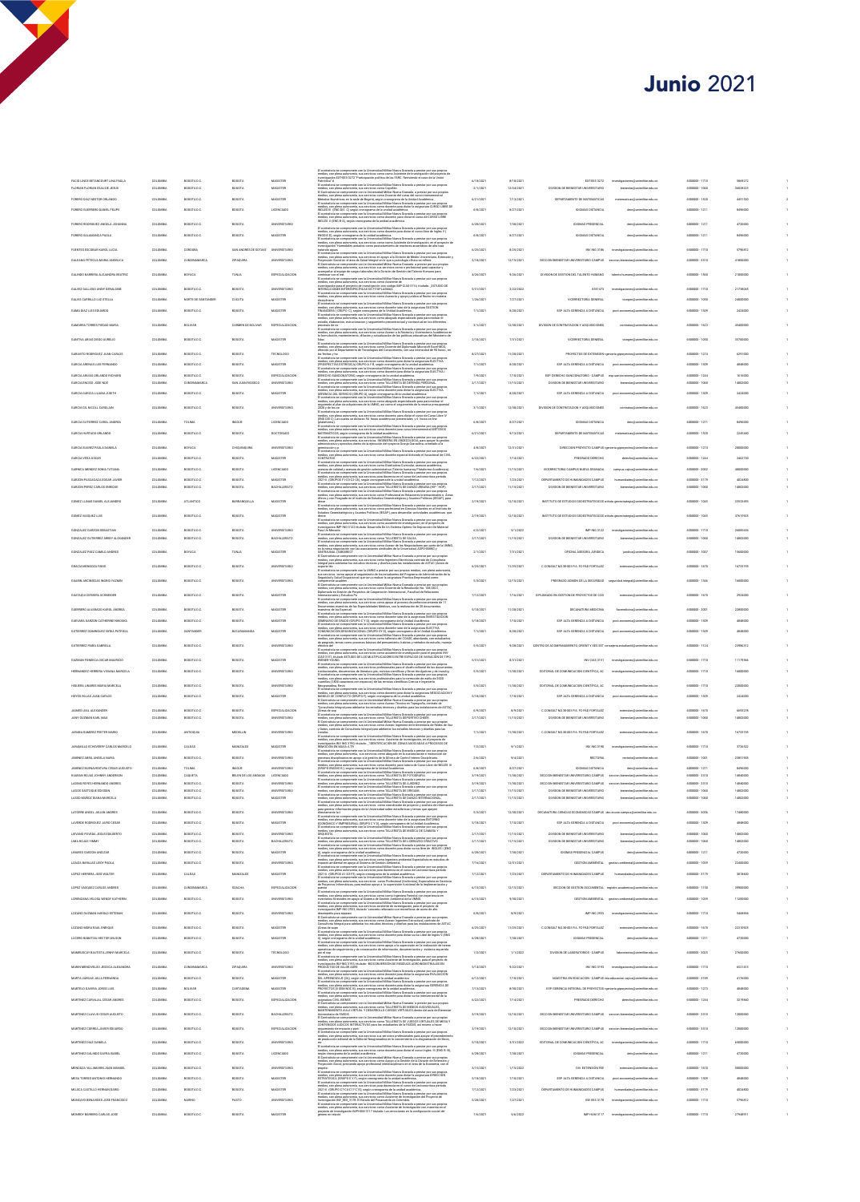## **Junio 2021**

 $\begin{array}{ccc} 1 & 1 \\ 1 & 2 \\ 2 & 1 \end{array}$ 

 $\begin{array}{c} \begin{array}{c} 1 \\ 1 \end{array} \end{array}$  $\begin{array}{c} 1 \\ 1 \\ 1 \end{array}$  $\begin{array}{c} \begin{array}{c} 1 \\ 1 \end{array} \end{array}$ 

| un contratoria ao compromete con la Universidad Militar Noeva Granada a prestar por sua propios<br>medico, con plena autonomía, sua servicios como como Asistente de Investigación del proyecto de<br>Investigación DXT-EES-X272 "Pa<br>El contratista se compromete con la Universidad Militar Nueva Granada a prestar por sus propios                                                                                                                                                                                                                                                                                                                                          |                        |                          |                                                                                                                  |                                                                   |                                |                      |
|----------------------------------------------------------------------------------------------------------------------------------------------------------------------------------------------------------------------------------------------------------------------------------------------------------------------------------------------------------------------------------------------------------------------------------------------------------------------------------------------------------------------------------------------------------------------------------------------------------------------------------------------------------------------------------|------------------------|--------------------------|------------------------------------------------------------------------------------------------------------------|-------------------------------------------------------------------|--------------------------------|----------------------|
|                                                                                                                                                                                                                                                                                                                                                                                                                                                                                                                                                                                                                                                                                  | 6/18/2021              | 8/18/2021                | EXT-EES 3272                                                                                                     | nes@unimilitar.edu.co                                             | 6500000 - 1710                 | 5869272              |
|                                                                                                                                                                                                                                                                                                                                                                                                                                                                                                                                                                                                                                                                                  | 2/1/2021               | 12/24/2021               | SION DE BIENESTAR UNIVERSITARIO                                                                                  | estar@unimilitar.edu.co                                           | 6500000 - 1060                 | 36028223             |
|                                                                                                                                                                                                                                                                                                                                                                                                                                                                                                                                                                                                                                                                                  | 6/21/2021              | 7/13/2021                | DEPARTAMENTO DE MATEMATICAS                                                                                      | matematicas@unimilitar.edu.co                                     | 6500000-1520                   | 4451520              |
| El conditation a compensation can be the<br>resulted Millan November (and the condition of the condition of the<br>condition and competent of the condition of the condition of the<br>condition of the condition of the condition of                                                                                                                                                                                                                                                                                                                                                                                                                                            | 6/8/2021               | 8/27/2021                | <b>IDIOMAS DISTANCIA</b>                                                                                         | dein@unimilitar.edu.co                                            | 6000000-1211                   | 8496000              |
|                                                                                                                                                                                                                                                                                                                                                                                                                                                                                                                                                                                                                                                                                  |                        |                          |                                                                                                                  |                                                                   |                                |                      |
| .<br>Ita se compromete con la Universidad Militar Nueva Granada a prestar por sus propios<br>In olena autonomía, sus servicios como docente para dictar el curso libre de Ingles V (<br>El cont                                                                                                                                                                                                                                                                                                                                                                                                                                                                                  | 6/28/2021              | 7/10/2021                | IDIOMAS PRESENCIAL                                                                                               | dein@unimilitar.edu.co                                            | 6000000-1211                   | 4720000              |
| rmedico, con plena automorina, xua xervicios corno diccerele para dictar el curso libre de Ingles V (<br>ENGINS D), xegún cronograma de la unidad académica.<br>El contratista se compromeia con la Universidad Militar Nueva Granad                                                                                                                                                                                                                                                                                                                                                                                                                                             | 6/8/2021               | 8/27/2021                | <b>DIOMAS DISTANCIA</b>                                                                                          | dein@unimilitar.edu.co                                            | 6000000-1211                   | 8496000              |
|                                                                                                                                                                                                                                                                                                                                                                                                                                                                                                                                                                                                                                                                                  | 6/25/2021              | 8/25/2021                | INV ING 3186                                                                                                     | investigaciones@unimilitar.edu.co                                 | 6500000 - 1710                 | 5796812              |
| fratarios aguas $\label{eq:constrained} Theorem~\ref{independent} and the previous method is a product of the first property, consider a nontrivial representation of the first property, and the first property is a nontrivial representation. For example, if the first property is a nontrivial representation of the first property, and the first property is a group is a group, and the first property is a group, and the first property is a group, and the first property is a group, and the first property is a group, and the first property is a group, and the first property is a group, and the first property is a group, and the first property is a group.$ |                        |                          |                                                                                                                  |                                                                   |                                |                      |
|                                                                                                                                                                                                                                                                                                                                                                                                                                                                                                                                                                                                                                                                                  | 2/18/2021              | 12/15/2021               | SECCION BENESTAR UNIVERSITARIO CAMPUS aeccion.bienestar@unimilitar.edu.co                                        |                                                                   | 6500000-3310                   | 41800000             |
| accompany of the company of the contract of the contract of the contracts of the contracts of the contracts of the contracts of the contracts of the contracts of the contracts of the contracts of the contracts of the contr                                                                                                                                                                                                                                                                                                                                                                                                                                                   | 4/26/2021              | 9/26/2021                | DIVISION DE GESTION DEL TALENTO HUMANO                                                                           | talento.humano@unimilitar.edu.co                                  | 6500000 - 1560                 | 21000000             |
|                                                                                                                                                                                                                                                                                                                                                                                                                                                                                                                                                                                                                                                                                  |                        |                          |                                                                                                                  |                                                                   |                                |                      |
| metos, con peroa autonoma, sua servucos como xustente de l'Orixi (1971)<br>Investigación para el proyecto de investigación con codigo IMP-CIAS-3114, titulado: _ESTUDIO DE<br>INTERACCIÓNES INTERESPECÍFICAS ED FITOPLASMAS<br>El contr                                                                                                                                                                                                                                                                                                                                                                                                                                          | 5/31/2021              | 3/22/2022                | 8551473                                                                                                          | sciones@unimilitat.edu.co                                         | 6500000 - 1710                 | 21738045             |
| disciplinaria<br>El contratista se co                                                                                                                                                                                                                                                                                                                                                                                                                                                                                                                                                                                                                                            | 1/26/2021              | 7/27/2021                | VICERRECTORIA GENERAL                                                                                            | vicegen@unimilitar.edu.co                                         | 6500000 - 1050                 | 24000000             |
| disciplinaris<br>El confundito as compromete con la Universidad Militar Nueva Granada a prestar por sus propios<br>El confundito as compromete, sus inclusions entre disciplinari del disciplinari di CSI 100<br>El confundito, la com                                                                                                                                                                                                                                                                                                                                                                                                                                           | 7/1/2021               | 8/20/2021                | ESP. ALTA GERENCIA A DISTANCIA                                                                                   | post.economia@unimilitar.edu.co                                   | 6500000 - 1309                 | 2424000              |
|                                                                                                                                                                                                                                                                                                                                                                                                                                                                                                                                                                                                                                                                                  | 3/1/2027               | 12/30/2021               | DIVISION DE CONTRATACION Y ADQUISICIONES                                                                         | contratos@unimilitar.edu.co                                       | 6500000 - 1623                 | 45400000             |
| procesos de co<br>El contrativa se compromete con la Universidad Militar Noeva Granada a prestar por sus propios<br>medios, con plena autonomía, sus servicios como Asesor a la Rectoria y Vicemectoria Académica en<br>la formulación,                                                                                                                                                                                                                                                                                                                                                                                                                                          |                        |                          |                                                                                                                  |                                                                   |                                |                      |
| meator, com para autonomia, na servicioni contro Antaliz al si autonomia y vicentencina Academica e di Monten<br>la formalación, manteninierelo, difusión y actualización de las políticas educativas del Metalento de la<br>Elizont                                                                                                                                                                                                                                                                                                                                                                                                                                             | 2/10/2021              | 7/31/2021                | VICERRECTORIA GENERAL                                                                                            | militar.edu.co                                                    | 6500000 - 1050                 | 35700000             |
|                                                                                                                                                                                                                                                                                                                                                                                                                                                                                                                                                                                                                                                                                  | 8/27/2021              | 11/20/2021               |                                                                                                                  | PROVECTOS DE EXTENSION spenieria giproyectos@unimilitar.edu.co    | 6500000-1274                   | 6291000              |
| las fechas plus<br>compromeis con la théoretical Militar News Garanda a prestar por sur cropies<br>Constantin en compromeis con la théoretical Militar News Garantes (1986)<br>(Photoscophic Scholars) (Shibbon X %), equivalent po                                                                                                                                                                                                                                                                                                                                                                                                                                              |                        |                          |                                                                                                                  |                                                                   |                                |                      |
|                                                                                                                                                                                                                                                                                                                                                                                                                                                                                                                                                                                                                                                                                  | 7/1/202                | 8/20/2021                | ESP. ALTA GERENCIA A DISTANCIA                                                                                   |                                                                   | 6500000 - 1309                 | 484800               |
|                                                                                                                                                                                                                                                                                                                                                                                                                                                                                                                                                                                                                                                                                  | 7/9/2021<br>2/17/2021  | 7/10/2021<br>11/15/2021  | ESP. DERECHO SANCIONATORIO - CAMPUS<br>DIVISION DE BIENESTAR UNIVERSITARIO                                       | atorio@unimilitar.edu.co<br>bienestar@unimilitar.edu.co           | 6500000 - 1244<br>6500000-1060 | 1616000<br>14802000  |
|                                                                                                                                                                                                                                                                                                                                                                                                                                                                                                                                                                                                                                                                                  |                        |                          |                                                                                                                  |                                                                   |                                |                      |
| $\label{thm:main} \begin{minipage}[t]{. \begin{minipage}[t]{. \begin{tabular}[t]{. \begin{tabular}[t]{. \begin{tabular}[t]{. \rule{0.2ex}{. \rule{0.1ex}{. } \end{tabular} \end{tabular} \end{tabular} \end{minipage}} \begin{minipage}[t]{. \begin{tabular}[t]{. \rule{0.2ex}{. } \end{tabular} \end{minipage}} \begin{minipage}[t]{. \begin{tabular}[t]{. \rule{0.2ex}{. } \end{tabular} \end{minipage}} \begin{minipage}[t]{. \end{tabular} \end{minipage}} \begin{minipage}[t]{. \end{tab$                                                                                                                                                                                   | 7/1/2021               | 8/20/2021                | ESP. ALTA GERENCIA A DISTANCIA                                                                                   | post economia@unimilitar.edu.co                                   | 6500000-1309                   | 2424000              |
| <br>eveluy por los co<br>El contratista as correpromente con la Universidad Millard Nueva Granada a persiste pressuperati<br>medicis, con plena autorsenia, sua servicio: corre dicentris, para dictar el curso de Curso Liber IV<br>medici                                                                                                                                                                                                                                                                                                                                                                                                                                      | 3/1/2021               | 12/30/2021               | DIVISION DE CONTRATACION Y ADQUISICIONES                                                                         | contratos@unimilitar.edu.co                                       | 6500000-1623                   | 45400000             |
|                                                                                                                                                                                                                                                                                                                                                                                                                                                                                                                                                                                                                                                                                  |                        |                          |                                                                                                                  |                                                                   |                                |                      |
|                                                                                                                                                                                                                                                                                                                                                                                                                                                                                                                                                                                                                                                                                  | 6/8/2021               | 8/27/2021                | <b>IDIOMAS DISTANCIA</b>                                                                                         | dein@unimilitar.edu.co                                            | 6000000-1211                   | 8496000              |
| $\hat{Q}$ tataforma), as compromeiro con la Universidad Militar Norva Granada a presiste propios el controllato se compromeiro con la Universidad Militar Norva Granada a presiste propios el controllato del controllato del co                                                                                                                                                                                                                                                                                                                                                                                                                                                 | 6/21/2021              | 9/13/2021                | DEPARTAMENTO DE MATEMATICAS                                                                                      | matematicas@unimilitar.edu.co                                     | 6500000 - 1520                 | 2245440              |
|                                                                                                                                                                                                                                                                                                                                                                                                                                                                                                                                                                                                                                                                                  | 4/8/2021               | 12/31/2021               |                                                                                                                  | DIRECCION PROYECTO CAMPUS spenieria giproyectos@unimilitar.edu.co | 6500000 - 1274                 | 20000000             |
| warminación y p.<br>Quentinación y p.<br>El contratista se compromete con la Universidad Militar Nueva Granada a prestar por sus propios<br>medios, con plena autonomía, sus servicios como docente especial dictando el Vacacional de                                                                                                                                                                                                                                                                                                                                                                                                                                           |                        |                          |                                                                                                                  |                                                                   |                                |                      |
|                                                                                                                                                                                                                                                                                                                                                                                                                                                                                                                                                                                                                                                                                  | 6/22/2021              | 7/14/2021                | PREGRADO DERECHO                                                                                                 | derecho@unimilitar.edu.co                                         | 6500000-1244                   | 2462720              |
|                                                                                                                                                                                                                                                                                                                                                                                                                                                                                                                                                                                                                                                                                  | 7/6/2021               | 11/15/2021               | VICERRECTORIA CAMPUS NUEVA GRANADA                                                                               | campus, cajica@unimilitar.edu.co                                  | 6500000 - 3002                 | 48000000             |
|                                                                                                                                                                                                                                                                                                                                                                                                                                                                                                                                                                                                                                                                                  | 7/12/2021              | 7/23/2021                | DEPARTAMENTO DE HUMANIDADES CAMPUS                                                                               | humanidades@unimilitat edu.co                                     | 6500000-3179                   | 4024800              |
|                                                                                                                                                                                                                                                                                                                                                                                                                                                                                                                                                                                                                                                                                  | 2/17/2021              | 11/15/2021               | DIVISION DE BIENESTAR UNIVERSITARIO                                                                              | star@unimilitar.edu.co                                            | 5500000 - 1060                 |                      |
|                                                                                                                                                                                                                                                                                                                                                                                                                                                                                                                                                                                                                                                                                  | 2/19/2021              | 12/10/2021               | INSTITUTO DE ESTUDIOS GEOESTRATEGICOS atituto.geo                                                                | ategia@unimilitar.edu.co                                          | 6500000-1045                   | 33533493             |
| medico, con plena autonomía, sus servicios como profesional en Ciencias Navales en el Insti<br>Estudios Geoestratégicos y Asuntos Políticos (IEGAP), para desarrollar actividades académic<br>ituto de<br>:as que                                                                                                                                                                                                                                                                                                                                                                                                                                                                |                        |                          |                                                                                                                  |                                                                   |                                |                      |
|                                                                                                                                                                                                                                                                                                                                                                                                                                                                                                                                                                                                                                                                                  | 2/19/2021              | 12/10/2021               | INSTITUTO DE ESTUDIOS GEOESTRATEGICOS atitulo, peo                                                               | estrategia(li unimilitar.edu.cc                                   | 6500000-1045                   | 47615925             |
| omme<br>El contratista se compromete con la Universidad Militar Nueva Granada a prestar por sus propios<br>medios, con plena autonomía, sus servicios como asistente de investigacion, en el proyecto de<br>Investigacion MP-ING-3122 t                                                                                                                                                                                                                                                                                                                                                                                                                                          | 6/2/2021               | 3/1/2022                 | IMP ING 3122                                                                                                     | investigaciones@unimilitar.edu.co                                 | 6500000-1710                   | 26085654             |
| $\sigma$ as well under the components can be transmissed Millar Marco Coronda a presider pro available Corondal and the components can be composed to the component of the composite of the component of the composite component                                                                                                                                                                                                                                                                                                                                                                                                                                                 | 2/17/2021              | 11/15/2021               | DIVISION DE BIENESTAR UNIVERSITARIO                                                                              | militar edu co<br>star@un                                         |                                |                      |
|                                                                                                                                                                                                                                                                                                                                                                                                                                                                                                                                                                                                                                                                                  |                        |                          |                                                                                                                  |                                                                   |                                |                      |
|                                                                                                                                                                                                                                                                                                                                                                                                                                                                                                                                                                                                                                                                                  | 2/1/2021               | 7/31/2021                | OFICINA ASESORA JURIDICA                                                                                         | juridica@unimilitat edu.co                                        | 6500000 - 1007                 | 15600000             |
| medica, con plena autonomía, sus servicios como Ingeniero Electricista contrato de Consultoria<br>Integral para adelantar los estudios técnicos y diseños para las instalaciones de ASTAC (Áneas de                                                                                                                                                                                                                                                                                                                                                                                                                                                                              | 6/25/2021              | 11/25/2021               | C.CONSULT NO.30-003 PA. FC-PAD FORTALEZ                                                                          | extension@unimilitar.edu.co                                       | 6500000 - 1670                 | 16733195             |
| angerte Mes. un compromete con la DARG a peníntrare rea propios mediato, con plena antonomica possibilità dell<br>Engantiad y Sala Compromete del superioristo del su estabalista del Programa de Administración de la<br>Engantiad                                                                                                                                                                                                                                                                                                                                                                                                                                              |                        |                          |                                                                                                                  |                                                                   |                                |                      |
|                                                                                                                                                                                                                                                                                                                                                                                                                                                                                                                                                                                                                                                                                  | 5/3/2021               | 12/15/2021               | PREGRADO ADMON DE LA SEGURIDAD seguridad integral (Ismimilitat educo                                             |                                                                   | 6500000-1346                   | 16000000             |
| Internacionales y Estudios Po                                                                                                                                                                                                                                                                                                                                                                                                                                                                                                                                                                                                                                                    | 7/12/2021              | 7/16/2021                | DIPLOMADO EN GESTION DE PROYECTOS DE COO                                                                         | extension@unimilitar.edu.co                                       | 6500000-1670                   | 2924000              |
| Internacionales y Estudios Po<br>El contratista se compromete con la Universidad Militar Nueva Granada a prestar por sus propios<br>medios, con plena sudonomía, sus servicios como apoyo al proceso de perfeccionarriento de 11<br>Doc                                                                                                                                                                                                                                                                                                                                                                                                                                          |                        |                          |                                                                                                                  |                                                                   |                                |                      |
|                                                                                                                                                                                                                                                                                                                                                                                                                                                                                                                                                                                                                                                                                  | 5/10/2021              | 11/20/2021               | DECANATURA MEDICINA                                                                                              | facm<br>cina@unimilitar.edu.co                                    | 6500000 - 2001                 | 22800000             |
|                                                                                                                                                                                                                                                                                                                                                                                                                                                                                                                                                                                                                                                                                  | 5/18/2021              | 7/10/2021                | ESP. ALTA GERENCIA A DISTANCIA                                                                                   | post economia@unimilitar.edu.co                                   | 6500000 - 1309                 | 4848000              |
|                                                                                                                                                                                                                                                                                                                                                                                                                                                                                                                                                                                                                                                                                  | 7/1/2021               | 8/20/2021                | ESP. ALTA GERENCIA A DISTANCIA                                                                                   | post economia@unimilitar.edu.co                                   | 6500000-1309                   | 4848000              |
| Decays<br>interior due to include the constraints and the constraints of the first<br>present of the Equitable state is the three redshifts between Grands a product per mail probability<br>of the constraints of the constraints and                                                                                                                                                                                                                                                                                                                                                                                                                                           |                        |                          |                                                                                                                  |                                                                   |                                |                      |
| efectivo del<br>El contratista se co<br>eficióvo del<br>El contratats se compromete con la Universidad Militar Nueva Granada a prestar por sus propios<br>medios, con plena autonomía, sus servicios como asistente de investigación para el proyecto INV-<br>CIAS-3151, itulad                                                                                                                                                                                                                                                                                                                                                                                                  | 5/5/2021               | 9/28/2021                | CENTRO DE ACOMPANAMENTO, ORIENT Y SEG EST consejeria estudanti@unimilitar.edu.co                                 |                                                                   | 6500000-1124                   | 23986312             |
|                                                                                                                                                                                                                                                                                                                                                                                                                                                                                                                                                                                                                                                                                  | 5/31/2021              | 8/31/2021                | INV CIAS 3151                                                                                                    | ing<br>tigaciones@unimilitar.edu.co                               | 6500000 - 1710                 | 11170566             |
| visuame visuam.<br>El contratista se compromete con la Universidad Militar Nueva Granada a prestar por sus propios<br>medios, con plena autonomía, sus servicios profesionales para el diseño editorial de los documer                                                                                                                                                                                                                                                                                                                                                                                                                                                           | 5/5/2021               | 11/10/2021               | EDITORIAL DE COMUNICACION CIENTÍFICA, AC                                                                         | in,<br>anes@unimilitar.edu.co                                     | 6500000 - 1710                 | 16000000             |
| institucionales, documentos de literatura, princese constante per le 018870 estatunico es documentos de litera<br>El contrativis as compromete con la Universidad Militar Navez Granda a prestar pro au propio<br>en media, con plen                                                                                                                                                                                                                                                                                                                                                                                                                                             |                        |                          |                                                                                                                  |                                                                   |                                |                      |
|                                                                                                                                                                                                                                                                                                                                                                                                                                                                                                                                                                                                                                                                                  | 5/5/2021               | 11/10/2021               | EDITORIAL DE COMUNICACION CIENTÍFICA, AC                                                                         | militar.edu.co                                                    | 6500000 - 1710                 |                      |
|                                                                                                                                                                                                                                                                                                                                                                                                                                                                                                                                                                                                                                                                                  |                        |                          |                                                                                                                  |                                                                   |                                |                      |
|                                                                                                                                                                                                                                                                                                                                                                                                                                                                                                                                                                                                                                                                                  | 5/18/2021              | 7/10/2021                | ESP. ALTA GERENCIA A DISTANCIA                                                                                   | post.economia@unimilitar.edu.co                                   | 6500000 - 1309                 | 2424000              |
|                                                                                                                                                                                                                                                                                                                                                                                                                                                                                                                                                                                                                                                                                  |                        |                          |                                                                                                                  |                                                                   |                                |                      |
| Negotendra, Rovis<br>El contenista en compromeiro con la Universidad Militar Nueva Granada a preside por sus propios<br>El contenista se compromeiro con la Universidad Militar Nueva Granada a presidente NUGCO-MOOR<br>El Contenista                                                                                                                                                                                                                                                                                                                                                                                                                                           | 6/9/2021               | 8/9/2021                 | C.CONSULT NO.30-003 P.A. FC-PAD FORTALEZ                                                                         | sittat edu co                                                     | 6500000 - 1670                 | 6693278              |
|                                                                                                                                                                                                                                                                                                                                                                                                                                                                                                                                                                                                                                                                                  | 2/17/2021              | 11/15/2021               | DIVISION DE BIENESTAR UNIVERSITARIO                                                                              | bienestar@unimilitar.edu.co                                       | 6500000-1060                   | 14802000             |
|                                                                                                                                                                                                                                                                                                                                                                                                                                                                                                                                                                                                                                                                                  | 7/1/2021               | 11/10/2021               | C.CONSULT NO.30-003 PA. FC-PAD FORTALEZ                                                                          | exteraion@unimilitar.edu.co                                       | 6500000-1670                   | 16733195             |
| medici, con plus automotis la ille Min-van escribilità Micrissa y disabes para ta «««»».<br>Comulatoris helgel para ablestar la cardidata Micrissa y disabes para ta ««»» comulatoris helgel para propiet<br>Comulatoris helge comp                                                                                                                                                                                                                                                                                                                                                                                                                                              |                        |                          |                                                                                                                  |                                                                   |                                |                      |
| El contratista se compromete con la Universidad Militar Norva Granada a prestar por sus propios<br>medios, con plena autonomía, sus assvictos como Asistenio de levestigación, en el proyecto de<br>investigación NV ING 3190, titul                                                                                                                                                                                                                                                                                                                                                                                                                                             | 7/2/2021               | 9/1/2021                 | INV ING 3190                                                                                                     | investigaciones@unimilitar.edu.co                                 | 6500000-1710                   | 3726522              |
|                                                                                                                                                                                                                                                                                                                                                                                                                                                                                                                                                                                                                                                                                  | 2/6/2021               | 9/4/2021                 | RECTORIA                                                                                                         | rectoria@unimilitar.edu.co                                        | 6500000 - 1001                 | 23851905             |
|                                                                                                                                                                                                                                                                                                                                                                                                                                                                                                                                                                                                                                                                                  | 6/8/2021               | 8/27/2021                | <b>IDIOMAS DISTANCIA</b>                                                                                         | dein@unimilitar.edu.co                                            | 6000000-1211                   | 8496000              |
|                                                                                                                                                                                                                                                                                                                                                                                                                                                                                                                                                                                                                                                                                  | 3/19/2021              | 11/10/2021               | SECCION BENESTAR UNIVERSITARIO CAMPUS aeccio                                                                     | star@unimilitar.edu.co                                            | 6500000-3310                   | 14840000             |
|                                                                                                                                                                                                                                                                                                                                                                                                                                                                                                                                                                                                                                                                                  | 3/19/2021<br>2/17/2021 | 11/10/2021<br>11/15/2021 | SECCION BENESTAR UNIVERSITARIO CAMPUS aeccion.bienestar@unimilitar.edu.co<br>DIVISION DE BIENESTAR UNIVERSITARIO | estar@unimilitar.edu.co                                           | 6500000-3310<br>6500000-1050   | 14840000<br>14802000 |
| $\begin{split} &\frac{\partial \mathbf{u}(\mathbf{x},\mathbf{u})}{\partial \mathbf{u}(\mathbf{x},\mathbf{u})} = \frac{\partial \mathbf{u}(\mathbf{x},\mathbf{u})}{\partial \mathbf{u}(\mathbf{x},\mathbf{u})} \\ &\frac{\partial \mathbf{u}(\mathbf{x},\mathbf{u})}{\partial \mathbf{u}(\mathbf{x},\mathbf{u})} = \frac{\partial \mathbf{u}(\mathbf{x},\mathbf{u})}{\partial \mathbf{u}(\mathbf{x},\mathbf{u})} \\ &\frac{\partial \mathbf{u}(\mathbf{x},\mathbf{u})}{\partial \mathbf{u}(\mathbf{x},\mathbf{u$                                                                                                                                                                  | 2/17/2021              | 11/15/2021               | DIVISION DE BIENESTAR UNIVERSITARIO                                                                              | bienestar@unimilitar.edu.co                                       | 6500000-1060                   | 14802000             |
| as consumas an componente una secundamente menos como a consumar por establecto de la contratiun ano componente con la Universidad Militar Norus Generals a prentar pro sua pro<br>El contratiun se compromente con la Universida<br>lar por sus propi<br>inalista de inform                                                                                                                                                                                                                                                                                                                                                                                                     |                        |                          |                                                                                                                  |                                                                   | 6500000 - 3056                 |                      |
| directamente la t<br>El contratista se c<br>ompromete con la Universidad Militar Nueva Gran<br>La dresseria, sue servizios como docenta tutor da<br>ada a prestar por sus propios<br>'= ==i=e=stura ENTORNO                                                                                                                                                                                                                                                                                                                                                                                                                                                                      | 5/3/2021               | 12/30/2021               | DECANATURA CIENCIAS ECONOMICAS CAMPUS dec.econo.campua@unimilitar.edu.co                                         |                                                                   |                                | 17480000             |
|                                                                                                                                                                                                                                                                                                                                                                                                                                                                                                                                                                                                                                                                                  | 5/18/2021              | 7/10/2021                | ESP. ALTA GERENCIA A DISTANCIA                                                                                   | post economia@unimilitar.edu.co                                   | 6500000-1309                   | 4848000              |
| <b>HEADLE, AN HEADLE AND STATE AND SERVE OF THE SERVE AND SERVE AND SERVE AND SERVE AND SERVER SERVER SERVER SERVER SERVER SERVER SERVER SERVER SERVER SERVER SERVER SERVER SERVER SERVER SERVER SERVER SERVER SERVER SERVER SER</b>                                                                                                                                                                                                                                                                                                                                                                                                                                             | 2/17/2021              | 11/15/2021               | DIVISION DE BIENESTAR UNIVERSITARIO                                                                              | bienestar@unimilitar.edu.co                                       | 6500000 - 1060                 | 14802000             |
|                                                                                                                                                                                                                                                                                                                                                                                                                                                                                                                                                                                                                                                                                  | 2/17/2021              | 11/15/2021               | DIVISION DE BIENESTAR UNIVERSITARIO                                                                              | estar@unimilitar.edu.co                                           | 6500000 - 1060                 |                      |
|                                                                                                                                                                                                                                                                                                                                                                                                                                                                                                                                                                                                                                                                                  | 6/28/2021              | 7/10/2021                | <b>IDIOMAS PRESENCIAL CAMPUS</b>                                                                                 | dein@unimilitar.edu.co                                            | 6000000-1211                   | 4720000              |
| CROUGES A compromeire con la triversation Militar Naven Centrals a presiste por aus propies de Constantin en compromeire con la triversation Military Marco Constantin (2014)<br>El constantin se compromeire con la triversatio                                                                                                                                                                                                                                                                                                                                                                                                                                                 | 7/16/2021              | 12/31/2021               |                                                                                                                  | GESTION AMBIENTAL gestion ambiental@unimilitat edu.co             | 6500000 - 1039                 | 22400000             |
|                                                                                                                                                                                                                                                                                                                                                                                                                                                                                                                                                                                                                                                                                  | 7/12/2021              | 7/23/2021                | DEPARTAMENTO DE HUMANIDADES CAMPUS                                                                               | humanidades@unimilitar.edu.co                                     | 6500000-3179                   | 3018600              |
| reading, can plen automorfia, ana anvelona como logoitera ambiental Especialista en estudios de impacto ambiental en apoyo al Steinens de Gestión Ambiental.<br>Impacto ambiental en apoyo al Steinens de Gestión Ambiental.<br>El                                                                                                                                                                                                                                                                                                                                                                                                                                               | 6/15/2021              | 12/15/2021               | SECCION DE GESTION DOCUMENTAL registro.academico@unimilitax edu co                                               |                                                                   | 6500000-1150                   | 39900000             |
| El contratista se compromete con la universidad recordinational (Archivista), Especialism<br>medica, con plena autonomía, sus servicios como Profesional (Archivista), Especialism<br>de Proyectos Informáticos, para realizar apoyo<br>puesta<br>El contratista se con<br>modian con class o<br>repromete con la Universidad Militar Nueva Granada a prestar por sua pr<br>repromís, sus sensitivos como atam Nueva Granada a prestar por sua pr                                                                                                                                                                                                                                |                        |                          |                                                                                                                  |                                                                   |                                |                      |
| necico, con pema autonomia, sus servicios como como ingeniera rorestal co<br>nventarios forestales en apoyo al Sistema de Gestión Ambiental de la UMNG.                                                                                                                                                                                                                                                                                                                                                                                                                                                                                                                          | 6/15/2021              | 9/30/2021                |                                                                                                                  | GESTION AMBIENTAL gestion.ambiental@unimilitax.edu.co             | 6500000 - 1039                 | 11200000             |
| El contratista se compromeie con la Universidad Militar Nueva Granada a prestar por sus propios<br>medios, con piera autonomia, sus servicios asistente de investigación, para el proyecto de<br>investigación MP-ING-2933, titulado                                                                                                                                                                                                                                                                                                                                                                                                                                             | 6/8/2021               | 8/9/2021                 | IMP ING 2933                                                                                                     | investigaciones@unimilitar.edu.co                                 | 6500000-1710                   | 5468694              |
| desempeño para reparaci<br>El Contratista se compromete con la Universidad Militar Nueva Granada a prestar por sua propios<br>medios, con plena autonomía, sus servicios como Asesor Ingeniero Estructural, contrato de<br>Consultoría                                                                                                                                                                                                                                                                                                                                                                                                                                           |                        |                          |                                                                                                                  |                                                                   |                                |                      |
|                                                                                                                                                                                                                                                                                                                                                                                                                                                                                                                                                                                                                                                                                  | 6/25/2021              | 11/25/2021               | C.CONSULT NO.30-003 PA. FC-PAD FORTALEZ                                                                          | extension@unimilitat.edu.co                                       | 6500000-1670                   | 22310925             |
|                                                                                                                                                                                                                                                                                                                                                                                                                                                                                                                                                                                                                                                                                  | 6/28/2021              | 7/30/2021                | IDIOMAS PRESENCIAL                                                                                               | militar.edu.co                                                    | 0000000-1211                   | 4720000              |
| medio, con plana automenta, una escritoria del técnicas y crestes y para el productor de la contradición del control de la control de la control de la control de la control de la control de la control de la control de la                                                                                                                                                                                                                                                                                                                                                                                                                                                     | 1/2/2021               | 1/1/2022                 | DIVISION DE LABORATORIOS - CAMPUS                                                                                | laboratorios@unimilitar.edu.co                                    | 6500000 - 3025                 | 27600000             |
| operativas de seguimiento y de consecución de información, documentación y evide<br>por el sup<br>El contratista se compromete con la Universidad Militar Nueva Granada a prestar po                                                                                                                                                                                                                                                                                                                                                                                                                                                                                             |                        |                          |                                                                                                                  |                                                                   |                                |                      |
| ci contratata se compriso uno un un unumento anno movem viene anno 1000 metros de l'especto de<br>Investigación NV-NG 3193, titulado: -BICCONVERSIÓN DE RESIDUOS AGRONDUSTRIALES EN<br>Investigación NV-NG 3193, titulado: -BICCONVE                                                                                                                                                                                                                                                                                                                                                                                                                                             | 5/14/2021              | 9/22/2021                | INV ING 3193                                                                                                     | importionarion and transmitter arts on                            | 6500000-1710                   | 6521413              |
|                                                                                                                                                                                                                                                                                                                                                                                                                                                                                                                                                                                                                                                                                  | 6/12/2021              | 7/10/2021                | MAESTRIA EN EDUCACION - CAMPUS tria educacion cajica@unimilitar.edu.co                                           |                                                                   | 0500000-3189                   | 4176000              |
|                                                                                                                                                                                                                                                                                                                                                                                                                                                                                                                                                                                                                                                                                  | 7/13/2021              | 8/30/2021                | ESP. GERENCIA INTEGRAL DE PROYECTOS 1ge                                                                          | niltar.edu.co<br>ieria giproyectos@ur                             | 6500000 - 1273                 | 4848000              |
| PRODUCTION VALUE AND THE INTERFERING MARK CHARGE CONTRAINS THE CONTRACT CONTRACT CONTRACT CONTRACT CONTRACT CONTRACT CONTRACT CONTRACT CONTRACT CONTRACT CONTRACT CONTRACT CONTRACT CONTRACT CONTRACT CONTRACT CONTRACT CONTR                                                                                                                                                                                                                                                                                                                                                                                                                                                    | 6/22/2021              | 7/14/2021                | PREGRADO DERECHO                                                                                                 | derecho@unimilitar.edu.co                                         | 6500000-1244                   | 3219840              |
| ~~ contratists are compromise - www.-www.grams de la unidad académica.<br>medice, con plena autonomía, con la Universidad Militar Noava Granada a prestar por sus pro<br>asignatura CIVI. BIENES.<br>El Contratista se compromutu ----<br>ida a prestar por sus prop<br>EDIOS AUDIVISUALES,<br>seatar                                                                                                                                                                                                                                                                                                                                                                            |                        |                          |                                                                                                                  |                                                                   |                                |                      |
| El Communista de Montico<br>Maria Carlo de La Composteria que la Universidad Máliar Marca Coma de la traductiva del Monte de la Coma<br>MANTENNAENTO AULA VIRTUAL Y DESARROLLO CURSOS A ORTUGAL A MANOS AUGUSTOS DE LA COMPOSTA<br>Univ<br>El Core                                                                                                                                                                                                                                                                                                                                                                                                                               | 3/19/2021              | 12/10/2021               | SECCION BENESTAR UNIVERSITARIO CAMPUS aeccion.ble                                                                | estar@un                                                          | 6500000-3310                   | 12000000             |
| Universitatio de results.<br>El Contratista se compromete con la Universidad Militar Nueva Granada a prestar por sus propios "<br>medios, con plena autonomía, sus asevicios como 194.LERSITA DE JUEGOS VIRTUALES DE MESA Y<br>CONTÉNEI                                                                                                                                                                                                                                                                                                                                                                                                                                          | 3/19/2021              | 12/10/2021               | SECCION BENESTAR UNIVERSITARIO CAMPUS seccion bienestar@unimilitar.edu.co                                        |                                                                   | 6500000 - 3310                 | 12000000             |
|                                                                                                                                                                                                                                                                                                                                                                                                                                                                                                                                                                                                                                                                                  |                        |                          |                                                                                                                  |                                                                   |                                |                      |
| CUNY www.ordenservices<br>El contentata ao compacto y parti<br>El contentata ao compacto y parti<br>readizo, con plana autonomía, sua servicios sus servicios profesionales para apoyar el procedimi<br>che producción editorial de la Edi                                                                                                                                                                                                                                                                                                                                                                                                                                       | 5/10/2021              | 3/31/2022                | EDITORIAL DE COMUNICACION CIENTÍFICA, AC investigaciones@unimilitat.edu.co                                       |                                                                   | 6500000-1710                   | 65000000             |
| El contratista se compromete con la Universidad Militar Nueva Granada a prestar por sus propios<br>medios, con plena autonomía, sus servicios como docente para dictar el curso Ingles III (ENG B-B).<br>servin cronocrama de la uni<br>de la uni                                                                                                                                                                                                                                                                                                                                                                                                                                | 6/28/2021              | 7/30/2021                | IDIOMAS PRESENCIAL                                                                                               | dein@unimilitar.edu.co                                            | 6000000-1211                   | 4720000              |
| segun cronograma es u unuas academica.<br>El Contratista se comprennis con la Universidad Militar Naeva Granada a prestar por sus propios:<br>medios, con plena autorsenta, sus aervicios coemo Apoyo a la Gastión de la División de                                                                                                                                                                                                                                                                                                                                                                                                                                             |                        |                          |                                                                                                                  |                                                                   |                                |                      |
|                                                                                                                                                                                                                                                                                                                                                                                                                                                                                                                                                                                                                                                                                  | 3/15/2021              | 1/15/2022                | DIV. EXTENSION FEE                                                                                               | extension@unimilitat.edu.co                                       | 6500000-1670                   | 50000000             |
|                                                                                                                                                                                                                                                                                                                                                                                                                                                                                                                                                                                                                                                                                  | 5/18/2021              | 7/10/2021                | ESP. ALTA GERENCIA A DISTANCIA                                                                                   | post economia@unimilitat edu co                                   | 6500000-1309                   | 4848000              |
|                                                                                                                                                                                                                                                                                                                                                                                                                                                                                                                                                                                                                                                                                  | 7/12/2021              | 7/23/2021                | DEPARTAMENTO DE HUMANIDADES CAMPUS                                                                               | humanidades@unimilitar.edu.co                                     | 6500000-3179                   | 4024800              |
|                                                                                                                                                                                                                                                                                                                                                                                                                                                                                                                                                                                                                                                                                  | 5/28/2021              | 7/27/2021                | INV EES 3178                                                                                                     | investiga<br>iciones@unimilitar.edu.co                            | 6500000-1710                   | 5796812              |

| FACIO LINCE BETANCOURT LINA PACLA                                      | COLOMBIA                           | BOGOTA D.C.               | <b>BOGOTA</b>                         | <b>MAGISTER</b>                         |
|------------------------------------------------------------------------|------------------------------------|---------------------------|---------------------------------------|-----------------------------------------|
| FLORIAN FLORIAN ESAU DE JESUS                                          | COLOMBIA                           | BOGOTA D.C                | BOGOTA                                | MAGISTER                                |
| FORERO DIAZ NESTOR ORLANDO<br>FORERO GUERRERO DANIEL FELIPE            | <b>COLOMBIA</b><br><b>COLOMBIA</b> | BOGOTA D.C<br>BOGDTA D.C  | <b>BOGOTA</b><br><b>BOGOTA</b>        | <b>MAGISTER</b><br>LICENCIADO           |
| FORERO RODRIGUEZ ANGELA JOHANNA                                        | COLOMBIA                           | BOGOTA D.C                | BOGOTA                                | <b>UNIVERSITARIO</b>                    |
| FORERO SALAMANCA PACLA                                                 | <b>COLOMBIA</b>                    | BOGOTA D.C                | <b>BOGOTA</b>                         | <b>MAGISTER</b>                         |
| FUENTES ESCOBAR KAROL LUCIA                                            | COLOMBIA                           | CORDOBA                   | SAN ANDRES DE SOTAVE                  | <b>UNIVERSITARIO</b>                    |
| GALEANO FETECUA MARIA ANGELICA                                         | <b>COLOMBIA</b>                    | CUNDINAMARCA              | ZIPAQUIRA                             | <b>UNIVERSITARIO</b>                    |
| GALINDO BARRERA ALEJANDRA BEATRIZ                                      | COLOMBIA                           | BOYACA                    | <b>TUNJA</b>                          | ESPECIALIZACION                         |
| GALVEZ GALLEGO ANNY GERALDINE                                          | COLOMBIA                           | BOGOTA D.C                | BOGOTA                                | <b>UNIVERSITARIO</b>                    |
| GALVIS CARRILLO LUZ STELLA                                             | COLOMBIA                           | NORTE DE SANTANDER        | CUCUTA                                | <b>MAGISTER</b>                         |
| GAMA DIAZ LUIS EDUARDO                                                 | <b>COLOMBIA</b>                    | BOGDTA D.C                | <b>BOGOTA</b>                         | <b>MAGISTER</b>                         |
| GAMARRA TORRES PIEDAD MARLA                                            | COLOMBIA                           | BOLIVAR                   | CARMEN DE BOLIVAR                     | ESPECIALIZACION                         |
| GANTIVA ARIAS DIEGO AURELIO                                            | COLOMBIA                           | BOGOTA D.C                | <b>BOGOTA</b>                         | <b>MAGISTER</b>                         |
| CARAVITO RODRICHEZ, EIAN CARLOS                                        | COLOMBIA                           | ROGOTA D.C.               | <b>BOGOTA</b>                         | TECNOLOGO                               |
| GARCIA ARENAS LUIS FERNANDO                                            | COLOMBIA                           | BOGDTA D.C.               | BOGOTA                                | <b>MAGISTER</b>                         |
| GARCIA ARUJAS ORLANDO RICHARD                                          | COLOMBIA                           | BOGOTA D.C                | BOGOTA                                | ESPECIALIZACION                         |
| GARCIA ENCISO JOSE NOE                                                 | <b>COLOMBIA</b>                    | CUNDINAMARCA              | SAN JUAN RIOSECO                      | <b>UNIVERSITARIO</b>                    |
| GARCIA GARCIA LILIANA JUDITH                                           | COLOMBIA                           | BOGOTA D.C.               | <b>BOGOTA</b>                         | <b>MAGISTER</b>                         |
| GARCIA GIL NICOLL CAROLAIN                                             | <b>COLOMBIA</b>                    | BOGDTA D.C                | <b>BOGOTA</b>                         | <b>UNIVERSITARIO</b>                    |
| GARCIA GUTIERREZ CAROL ANDREA                                          | COLOMBIA                           | TOLIMA                    | BAGUE                                 | LICENCIADO                              |
| GARCIA HURTADO ORLANDO                                                 | <b>COLOMBIA</b>                    | BOGOTA D.C                | <b>BOGOTA</b>                         | DOCTORADO                               |
| GARCIA SUAREZ PAULA DANIELA                                            | COLOMBIA                           | BOYACA                    | CHIQUINQUIRA                          | <b>UNIVERSITARIO</b>                    |
| GARCIA VEGA OSCAR                                                      | COLOMBIA                           | BOGOTA D.C                | BOGOTA                                | <b>MAGISTER</b>                         |
| GARNICA MENDEZ SONIA TATIANA<br>GARZON PASCAGAZA EDGAR JAVIER          | <b>COLOMBIA</b><br><b>COLOMBIA</b> | BOGOTA D.C<br>BOGOTA D.C. | <b>BOGOTA</b><br><b>BOGOTA</b>        | LICENCIADO<br><b>MAGISTER</b>           |
| GARZON PEREZ CARLOS ENRIQUE                                            | COLOMBIA                           | BOGOTA D.C                | <b>BOGOTA</b>                         | BACHILLERATO                            |
| GOMEZ LLINAS DANIEL ALEJANDRO                                          | COLOMBIA                           | ATLANTICO                 | BARRANQUILLA                          | <b>MAGISTER</b>                         |
| COMEZ VASCUEZ LUS                                                      | COLOMBIA                           | BOGOTA D.C.               | <b>BOGOTA</b>                         | <b>MAGISTER</b>                         |
| GONZALEZ GARZON SEBASTIAN                                              | <b>COLOMBIA</b>                    | BOGOTA D.C                | <b>BOGOTA</b>                         | <b>UNIVERSITARIO</b>                    |
| GONZALEZ GUTIERREZ ARBEY ALEXANDER                                     | COLOMBIA                           | BOGOTA D.C                | BOGOTA                                | BACHILLERATO                            |
| GONZALEZ PAEZ CAMILO ANDRES                                            | COLOMBIA                           | <b>ROYACA</b>             | TUNJA                                 | <b>MAGISTER</b>                         |
| GRACIA MENDOZA FABIO                                                   | COLOMBIA                           | <b>BOGOTA D.C.</b>        | <b>BOGOTA</b>                         | INVENTABLE                              |
| GUARN ARCINEGAS INGRID YAZMIN                                          | <b>COLOMBIA</b>                    | BOGOTA D.C                | <b>BOGOTA</b>                         | <b>UNIVERSITARIO</b>                    |
|                                                                        |                                    |                           |                                       |                                         |
| GUATAQUI CERVERA SCHNEIDER                                             | <b>COLOMBIA</b>                    | BOGOTA D.C                | <b>BOGOTA</b>                         | <b>MAGISTER</b>                         |
| RERO ALVARADO KAROL ANDRI<br>CLE                                       | <b>COLOMBIA</b>                    | BOGOTA D.C                | BOGOTA                                | <b>MAGISTER</b>                         |
| GUEVARA GARZON CATHERINE NIKOSKA<br>GUTIERREZ DOMINGUEZ NYDIA PATRICIA | COLOMBIA<br><b>COLOMBIA</b>        | BOGDTA D.C<br>SANTANDER   | BOGOTA<br><b>BUCARAMANGA</b>          | <b>MAGISTER</b><br><b>MAGISTER</b>      |
|                                                                        |                                    |                           |                                       |                                         |
| GUTIERREZ PAIBA GABRIELA                                               | COLOMBIA                           | BOGDTA D.C                | BOGOTA                                | <b>UNIVERSITARIO</b>                    |
| GUZMAN FONSÉCA OSCAR MAURICIO                                          | COLON                              | BOGDTA D.C                | BOGOTA                                | <b>MAGISTER</b>                         |
| HERNANDEZ HERRERA VIVIANA MARCELA                                      | COLOMBIA                           | BOGDTA D.C                | <b>BOGOTA</b>                         | <b>UNIVERSITARIO</b>                    |
| HIGUERA LINARES MARIA MARCELA                                          | COLOMBIA                           | BOGOTA D.C                | BOGOTA                                | <b>UNIVERSITARIO</b>                    |
| HOYOS ROJAS JUAN CARLOS                                                | <b>COLOMBIA</b>                    | BOGDTA D.C                | <b>BOGOTA</b>                         | <b>MAGISTER</b>                         |
| <b>JAMES LEAL ALEXANDER</b><br>JANY GUZMAN KARL MAX                    | COLOMBIA<br><b>COLOMBIA</b>        | BOGOTA D.C.<br>BOGOTA D.C | <b>BOGOTA</b><br><b>BOGOTA</b>        | ESPECIALIZACION<br><b>UNIVERSITARIO</b> |
| JARABA RAMIREZ PEETER MARIO                                            | COLOMBIA                           | ANTIOQUIA                 | MEDELLIN                              | <b>UNIVERSITARIO</b>                    |
| JARAMILLO ECHEVERRY CARLOS MARCELO                                     | COLOMBIA                           | CALDAS                    | MANZALES                              | <b>MAGISTER</b>                         |
| JIMÉNEZ ABRIL ANGELA NARIA                                             | COLOMBIA                           | BOGDTA D.C                | BOGOTA                                | <b>UNIVERSITARIO</b>                    |
| JIMENEZ BUENAVENTURA CESAR AUGUSTO                                     | <b>COLOMBIA</b>                    | TOLIMA                    | BAGUE                                 | <b>UNIVERSITARIO</b>                    |
| KUARAN ROJAS JOHNNY ANDERSON<br>LADINO REYES HERNANDO ANDRES           | COLOMBIA<br>COLOMBIA               | CAQUETA<br>BOGOTA D.C     | BELEN DE LOS ANDAQUI<br><b>BOGOTA</b> | LICENCIADO<br><b>UNIVERSITARIO</b>      |
| LAGOS SASTOQUE EDISSON<br>LASSO MUÑOZ DIANA MARCELA                    | COLOMBIA<br>COLOMBIA               | BOGOTA D.C<br>BOGDTA D.C  | <b>BOGOTA</b><br><b>BOGOTA</b>        | <b>UNIVERSITARIO</b><br>MAGISTER        |
|                                                                        |                                    |                           |                                       |                                         |
| LATORRE ANGEL JULIAN ANDRES<br>LAVERDE RODRIGUEZ JAIRO CESAR           | COLOMBIA<br><b>COLOMBIA</b>        | BOGOTA D.C<br>BOGOTA D.C  | BOGOTA<br><b>BOGOTA</b>               | <b>UNIVERSITARIO</b><br><b>MAGISTER</b> |
| LIEVANO POVEDA JESUS EDILBERTO                                         | <b>COLOMBIA</b>                    | BOGOTA D.C.               | <b>BOGOTA</b>                         | <b>UNIVERSITARIO</b>                    |
| LIMA ROJAS YIMMY                                                       | COLOMBIA                           | BOGOTA D.C                | BOGOTA                                | BACHILLERATO                            |
| LINARES GARZON ANCIZAR                                                 | COLOMBIA                           |                           |                                       |                                         |
| LOAIZA BARAJAS LEIDY PAOLA<br>LOPEZ HERRERA JOSE WALTER                |                                    | BOGDTA D.C                | BOGOTA                                | <b>MAGISTER</b>                         |
|                                                                        | COLOMBIA                           | BOGOTA D.C                | BOGOTA                                | <b>UNIVERSITARIO</b>                    |
|                                                                        | <b>COLOMBIA</b>                    | CALDAS                    | MANZALES                              | <b>MAGISTER</b>                         |
| LOPEZ VASQUEZ CARLOS ANDRES                                            | COLOMBIA                           | CUNDINAMARCA              | SOACHA                                | ESPECIALIZACION                         |
| LORENZANA VELOSA WENDY KATHERIN                                        | COLOMBIA                           | BOGOTA D.C                | BOGOTA                                | <b>UNIVERSITARIO</b>                    |
| LOZANO GUZMAN HAROLD ESTEBAN                                           | COLOMBIA                           | BOGOTA D.C.               | BOGOTA                                | <b>UNIVERSITARIO</b>                    |
| LOZANO MORA RAUL ENRIQUE                                               | COLOMBIA                           | BOGDTA D.C.               | BOGOTA                                | <b>MAGISTER</b>                         |
| LUCERO BABATIVA HECTOR WILSON                                          | COLOMBIA                           | BOGOTA D.C.               | BOGOTA                                | <b>MAGISTER</b>                         |
| MAMBUSCAY BAUTISTA JENNY MARCELA                                       | COLOMBIA                           | BOGOTA D.C.               | BOGOTA                                | TECNOLOGO                               |
| MARN MENDING SO, IESSICA ALEXANDRA                                     | COLOMBIA                           | CUNDINAMARCA              | ZPAQURA                               | <b>UNIVERSITARIO</b>                    |
| MARTA VARGAS JULIA FERNANDA                                            | COLOMBIA                           | BOGOTA D.C                | BOGOTA                                | <b>MAGISTER</b>                         |
| MARTELO GAVIRIA JORGE LUIS                                             | COLOMBIA                           | BOLIVAR                   | CARTAGENA                             | <b>MAGISTER</b>                         |
| MARTINEZ CARVAJAL CESAR ANDRES                                         | COLOMBIA                           | BOGOTA D.C                | <b>BOGOTA</b>                         | ESPECIALIZACION                         |
| MARTINEZ CLAVIJO CESAR AUGUSTO                                         | COLOMBIA                           | BOGOTA D.C.               | BOGOTA                                | BACHILLERATO                            |
| MARTINEZ CORREA JAVIER EDUARDO                                         | COLOMBIA                           | BOGOTA D.C.               | <b>BOGOTA</b>                         | ESPECIALIZACION                         |
| MARTINEZ DIAZ DANIELA                                                  | <b>COLOMBIA</b>                    | BOGOTA D.C                | <b>BOGOTA</b>                         | <b>UNIVERSITARIO</b>                    |
| MARTINEZ GALINDO DAYRA ISABEL                                          | COLOMBIA                           | BOGOTA D.C.               | BOGOTA                                | LICENCIADO                              |
| MENDOZA VILLAMARIN JUAN MANUEL                                         | <b>COLOMBIA</b>                    | BOGOTA D.C                | <b>BOGOTA</b>                         | <b>UNIVERSITARIO</b>                    |
| MESA TORRES ANTONIO HERNANDO                                           | COLOMBIA                           | BOGOTA D.C.               | <b>BOGOTA</b>                         | <b>MAGISTER</b>                         |
| MOJICA CASTILLO HERNAN DARIO<br>MONCAYO BENAVIDES JOSÉ FRANCISCO       | COLOMBIA<br>COLOMBIA               | BOGOTA D.C.<br>NARINO     | <b>BOGOTA</b><br>PASTO                | <b>MAGISTER</b><br><b>UNIVERSITARIO</b> |
| MONROY BARRERO CARLOS JOSE                                             | COLOMBIA                           | BOGOTA D.C.               | BOGOTA                                | MAGISTER                                |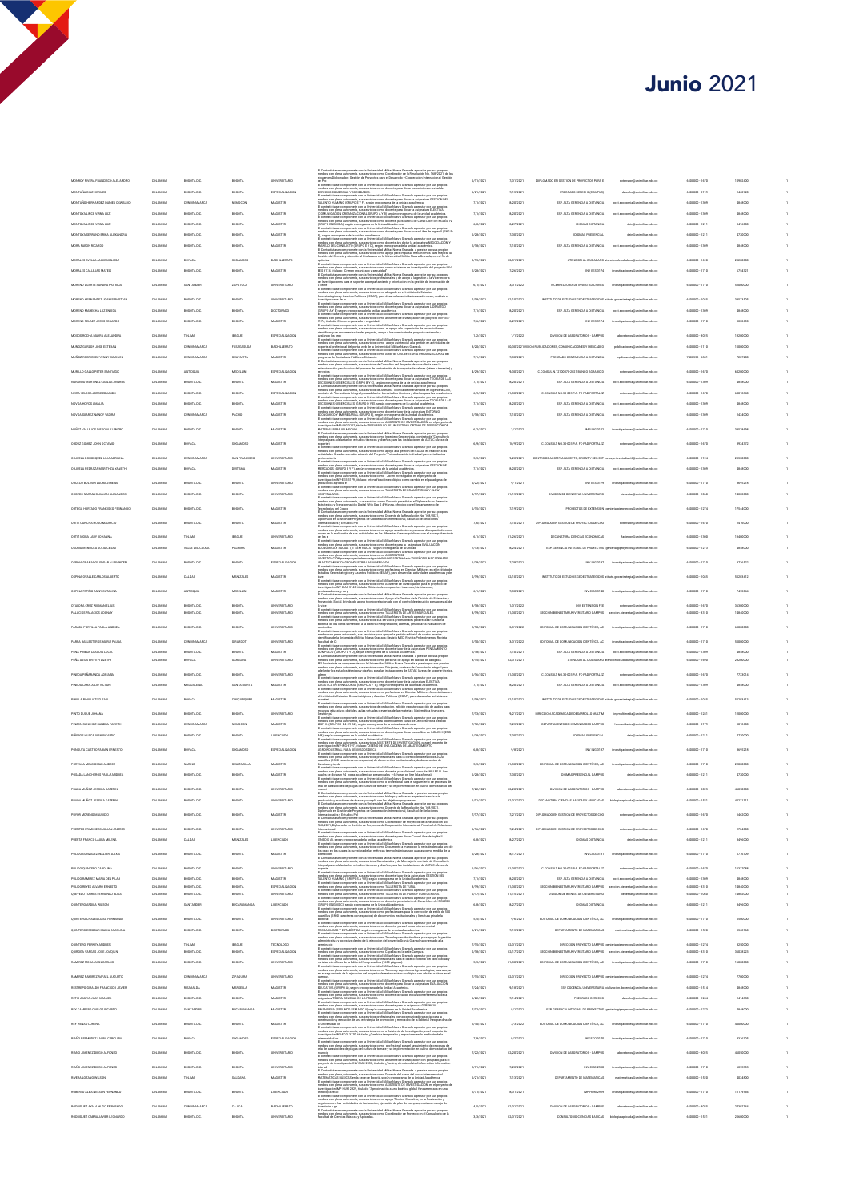## **Junio 2021**

| ista se compromete con la Universidad Militar Nueva Granada a prestar por sus propios<br>on plena autonomía, sus servicios como Coordinador de la Resolución No. 168/2021, de los<br>s Oplomados: Gestión de Proyectos para el Desam                                                                                                                                                                                                                                                                                                                                                                                                                                                                                                                                                                                                                                                                                                                                                                    |                        |                          |                                                                                                                 |                                                                     |                                  |                      |         |
|---------------------------------------------------------------------------------------------------------------------------------------------------------------------------------------------------------------------------------------------------------------------------------------------------------------------------------------------------------------------------------------------------------------------------------------------------------------------------------------------------------------------------------------------------------------------------------------------------------------------------------------------------------------------------------------------------------------------------------------------------------------------------------------------------------------------------------------------------------------------------------------------------------------------------------------------------------------------------------------------------------|------------------------|--------------------------|-----------------------------------------------------------------------------------------------------------------|---------------------------------------------------------------------|----------------------------------|----------------------|---------|
| siguie<br>de Pro<br>El con                                                                                                                                                                                                                                                                                                                                                                                                                                                                                                                                                                                                                                                                                                                                                                                                                                                                                                                                                                              | 6/11/202               | 7/31/2021                | DIPLOMADO EN GESTION DE PROYECTOS PARA E                                                                        | extension@unimilitar.edu.co                                         | 6500000 - 1670                   | 10902400             |         |
|                                                                                                                                                                                                                                                                                                                                                                                                                                                                                                                                                                                                                                                                                                                                                                                                                                                                                                                                                                                                         | 6/21/202               | 7/13/2021                | PREGRADO DERECHO(CAMPUS)                                                                                        | cho@unimilitar.edu.co                                               | 6500000 - 3199                   | 2462720              |         |
| $\label{eq:2} The definition of the problem is a simple problem of the problem, the problem is a simple problem. The definition of the problem is a simple problem, the problem is a simple problem, the problem is a simple problem, the problem is a simple problem. The problem is a simple problem, the problem is a simple problem, the problem is a simple problem, the problem is a simple problem, the problem is a a new problem, the problem is a new problem, the problem is a new problem, the problem is a new problem, the problem is a new problem, the problem is a new problem, the problem is a new problem, the problem is a new problem, the problem is a new problem, the problem is a new problem, the problem is a new problem, the problem is a new problem, the problem is a new problem, the problem is a new problem, the problem is a new problem, the problem is a new problem, the problem is a new problem, the problem is a new problem, the problem is a new problem,$ | 7/1/202                | 8/20/2021                | ESP. ALTA GERENCIA A DISTANCIA<br>ESP. ALTA GERENCIA A DISTANCIA                                                | post.economia@unimilitar.edu.co                                     | 6500000 - 1309<br>6500000 - 1309 | 4848000              |         |
|                                                                                                                                                                                                                                                                                                                                                                                                                                                                                                                                                                                                                                                                                                                                                                                                                                                                                                                                                                                                         | 7/1/2021<br>6/8/2021   | 8/20/2021<br>8/27/2021   | <b>IDIOMAS DISTANCIA</b>                                                                                        | post.economia@unimilitar.edu.co<br>dein@unimilitar.edu.co           | 6000000-1211                     | 4848000<br>8496000   |         |
|                                                                                                                                                                                                                                                                                                                                                                                                                                                                                                                                                                                                                                                                                                                                                                                                                                                                                                                                                                                                         | 6/28/2021              | 7/30/2021                | <b>IDIOMAS PRESENCIAL</b>                                                                                       | dein@unimilitar.edu.co                                              | 6000000-1211                     | 4720000              |         |
| o), angun cronograma de la unisada academica.<br>El contratista se compromeira con la Universidad Militar Nueva Granada a prestar por sus propios<br>medico, con plena automomia, sua servicios corno docente ára dictar la asignatu                                                                                                                                                                                                                                                                                                                                                                                                                                                                                                                                                                                                                                                                                                                                                                    | 5/18/2021              | 7/10/2021                | FOR ALTA CERENCIA A DISTANCIA                                                                                   | post.economia@unimilitar.edu.co                                     | 6500000 - 1309                   | 4848000              |         |
| models, can plus automatis, tax MI models. We have the Universited MMLer was as well as considered develop in the Constitution of the Constitution of the Constitution of the Constitution of the Constitution of the Constit                                                                                                                                                                                                                                                                                                                                                                                                                                                                                                                                                                                                                                                                                                                                                                           | 3/15/2021              | 12/31/2021               |                                                                                                                 | ATENCION AL CIUDADANO atencionalciudadano (Ismimilitar edu co       | 6500000-1690                     | 23200000             |         |
|                                                                                                                                                                                                                                                                                                                                                                                                                                                                                                                                                                                                                                                                                                                                                                                                                                                                                                                                                                                                         | 5/28/2021              | 7/26/2021                | INV EES 3174                                                                                                    | investigaciones@unimilitar.edu.co                                   | 6500000-1710                     | 6754321              |         |
|                                                                                                                                                                                                                                                                                                                                                                                                                                                                                                                                                                                                                                                                                                                                                                                                                                                                                                                                                                                                         | 6/1/2021               | 3/31/2022                | VICERRECTORIA DE INVESTIGACIONES                                                                                | investigaciones@unimilitar.edu.co                                   | 6500000 - 1710                   | 51000000             |         |
|                                                                                                                                                                                                                                                                                                                                                                                                                                                                                                                                                                                                                                                                                                                                                                                                                                                                                                                                                                                                         |                        |                          |                                                                                                                 |                                                                     |                                  |                      |         |
| $\Delta\eta$ and the<br>planet parameter in the control of the control of the control of the<br>space of the control of the control of the control of the control of the<br>space of the control of the control of the control of the contro                                                                                                                                                                                                                                                                                                                                                                                                                                                                                                                                                                                                                                                                                                                                                            | 2/19/2021<br>7/1/2021  | 12/10/2021<br>8/20/2021  | INSTITUTO DE ESTUDIOS GEOESTRATEGICOS atituto.geoestrategia@unimilitar.edu.co<br>ESP. ALTA GERENCIA A DISTANCIA | post.economia@unimilitar.edu.co                                     | 6500000-1045<br>6500000-1309     | 33533505<br>4848000  |         |
|                                                                                                                                                                                                                                                                                                                                                                                                                                                                                                                                                                                                                                                                                                                                                                                                                                                                                                                                                                                                         | 7/6/2021               | 8/29/2021                | INV EES 3174                                                                                                    | investigaciones@unimilitar.edu.co                                   | 6500000 - 1710                   | 5822600              |         |
|                                                                                                                                                                                                                                                                                                                                                                                                                                                                                                                                                                                                                                                                                                                                                                                                                                                                                                                                                                                                         |                        |                          |                                                                                                                 |                                                                     |                                  |                      |         |
| walando los pro<br>avalando los proc<br>arcabas de la compromeia con la Universidad Militar Nueva Granada a presider por una propion<br>medio, con piena autoresmá, sua autorelas corres approximidades de la gesidie en actividades de la<br>El conta                                                                                                                                                                                                                                                                                                                                                                                                                                                                                                                                                                                                                                                                                                                                                  | 1/2/2021<br>3/20/2021  | 1/1/2022                 | DIVISION DE LABORATORIOS - CAMPUS<br>10/30/2021 VISION PUBLICACIONES, COMUNICACIONES Y MERCADED                 | laboratorioa@unimilitar.edu.co<br>publicaciones@unimilitat edu.co   | 6500000-3025<br>6500000-1110     | 19200000<br>15000000 |         |
|                                                                                                                                                                                                                                                                                                                                                                                                                                                                                                                                                                                                                                                                                                                                                                                                                                                                                                                                                                                                         | 7/1/2021               | 7/30/2021                | PRECRADO CONTADURIA A DISTANCIA                                                                                 | codistancia@unimilitar.edu.co                                       | 7480333 - 6841                   | 7207200              |         |
| programa de Contaduria Pública a Distancia.<br>El Contratista se compromete con la Universidad Militar Nueva Granada a prestar por sua propios<br>medios, con plena autonomía, sua servicios de Consultor del Proyecto de consultorí<br>watre) y                                                                                                                                                                                                                                                                                                                                                                                                                                                                                                                                                                                                                                                                                                                                                        |                        |                          |                                                                                                                 |                                                                     |                                  |                      |         |
|                                                                                                                                                                                                                                                                                                                                                                                                                                                                                                                                                                                                                                                                                                                                                                                                                                                                                                                                                                                                         | 4/29/2021<br>7/1/2021  | 9/30/2021<br>8/20/2021   | C.CONSUL N.12100070-2021 BANCO AGRARIO D<br>ESP. ALTA GERENCIA A DISTANCIA                                      | extension@unimilitar.edu.co<br>post.economia@unimilitar.edu.co      | 6500000-1670<br>6500000-1309     | 60200000<br>4848000  |         |
| of the contraction production of present determined for the property of the contract of the contraction of the contraction of the contraction of the contraction of the contraction of the contraction of the contraction of                                                                                                                                                                                                                                                                                                                                                                                                                                                                                                                                                                                                                                                                                                                                                                            | 6/9/2021               | 11/30/2021               | C.CONSULT NO.30-003 PA. FC-PAD FORTALEZ                                                                         | extension@unimilitar.edu.co                                         | 6500000-1670                     | 60018840             |         |
|                                                                                                                                                                                                                                                                                                                                                                                                                                                                                                                                                                                                                                                                                                                                                                                                                                                                                                                                                                                                         | 7/1/2021               | 8/20/2021                | ESP. ALTA GERENCIA A DISTANCIA                                                                                  | post.economia@unimilitar.edu.co                                     | 6500000 - 1309                   | 4848000              |         |
|                                                                                                                                                                                                                                                                                                                                                                                                                                                                                                                                                                                                                                                                                                                                                                                                                                                                                                                                                                                                         | 5/18/2021              | 7/10/2021                | ESP. ALTA GERENCIA A DISTANCIA                                                                                  | tomia@unimilitat.edu.co                                             | 6500000 - 1309                   | 2424000              |         |
| investigación IMP-ING-3122,<br>MATERIAL PARA UN MÉCAN                                                                                                                                                                                                                                                                                                                                                                                                                                                                                                                                                                                                                                                                                                                                                                                                                                                                                                                                                   | 6/2/2021               | 3/1/2022                 | IMP ING 3122                                                                                                    | investigaciones@unimilitar.edu.co                                   | 6500000-1710                     | 33538608             |         |
| mos unhos - PINA UN MELLANE<br>El Contrainte se compromeiro con la Universidad Militar Nueva Granada a prestar por sus propios<br>medios, con piera autonomía, sus servicios como ingeniero Geotecnista , contrato de "Consultori<br>In                                                                                                                                                                                                                                                                                                                                                                                                                                                                                                                                                                                                                                                                                                                                                                 |                        |                          |                                                                                                                 |                                                                     |                                  |                      |         |
| El contratiuta se compromete con la Universidad Militar Nueva Granada a prestar por sus propios<br>medios, con plena autonomía, sus servicios como apoyo a la pestión del COASE en néación<br>actividades Tevadas a a cabo a través                                                                                                                                                                                                                                                                                                                                                                                                                                                                                                                                                                                                                                                                                                                                                                     | 6/9/2021               | 10/9/2021                | C.CONSULT NO.30-003 PA. FC-PAD FORTALEZ                                                                         | extension@unimilitar.edu.co                                         | 6500000-1670                     | 8924372              |         |
|                                                                                                                                                                                                                                                                                                                                                                                                                                                                                                                                                                                                                                                                                                                                                                                                                                                                                                                                                                                                         | 5/5/2021               | 9/28/2021                | CENTRO DE ACOMPANAMENTO, ORIENT Y SEG EST consejería extudiantificamimilitar edu co                             |                                                                     | 6500000-1124                     | 23320000             |         |
| achivabiles Rendes a a caso a Terres ven regulars Militar Navna Crazolda a postar per usu propios a postarista con la base del control del control de la control de la control de la control de la control de la control de l                                                                                                                                                                                                                                                                                                                                                                                                                                                                                                                                                                                                                                                                                                                                                                           | 7/1/2021               | 8/20/2021                | ESP. ALTA GERENCIA A DISTANCIA                                                                                  | post.economia@unimilitar.edu.co                                     | 6500000-1309                     | 4848000              |         |
|                                                                                                                                                                                                                                                                                                                                                                                                                                                                                                                                                                                                                                                                                                                                                                                                                                                                                                                                                                                                         | 6/22/2021              | 9/1/2021                 | INV EES 3179                                                                                                    | investigaciones@unimilitar.edu.co                                   | 6500000-1710                     | 8695218              |         |
| imentigación NV-kaz-ati es, essen<br>producción agricola e<br>El contestista se compromete con la Universidad Militer Norva Granada a prestar por sus propios<br>medios, con plena autonomía, sus servicios como TALLENSTA DE DRAMA                                                                                                                                                                                                                                                                                                                                                                                                                                                                                                                                                                                                                                                                                                                                                                     | 2/17/2021              | 11/15/2021               | DIVISION DE BIENESTAR UNIVERSITARIO                                                                             | bienestar@unimilitar.edu.co                                         | 6500000 - 1060                   | 14802000             |         |
| HOSTITALAND.<br>El contenir la compromeira con la Universidad Militar Naves Cranada a prester por sus propios prester por al contenir al un servectivo contenir para dictar de la comprometer de la contenir de la contenir de l                                                                                                                                                                                                                                                                                                                                                                                                                                                                                                                                                                                                                                                                                                                                                                        | 6/15/2021              | 7/19/2021                |                                                                                                                 | PROVECTOS DE EXTENSION spenieria giproyectos@unimilitar.edu.co      | 6500000-1274                     | 17544000             |         |
|                                                                                                                                                                                                                                                                                                                                                                                                                                                                                                                                                                                                                                                                                                                                                                                                                                                                                                                                                                                                         |                        |                          |                                                                                                                 |                                                                     |                                  |                      |         |
| $\cup$ powers and the first state of the control of the control of the control of the control of the control of the control of the control of the control of the control of the control of the control of the control of the co                                                                                                                                                                                                                                                                                                                                                                                                                                                                                                                                                                                                                                                                                                                                                                         | 7/6/2021               | 7/10/2021                | DIFLOMADO EN GESTION DE PROYECTOS DE COO                                                                        | on@unimilitar.edu.co                                                | 6500000-1670                     | 2416000              |         |
| os tos<br>El contratista se compromete con la Universidad Militar Noeva Granada a prestar por sus propios<br>medios, con plena autonomía, sus servicios como docente para la  asignatura EVALUACIÓN<br>ECONÓMICA Y SOCIAL. (Il SEM NOC                                                                                                                                                                                                                                                                                                                                                                                                                                                                                                                                                                                                                                                                                                                                                                  | 6/1/2021               | 11/26/2021               | DECANATURA CIENCIAS ECONOMICAS                                                                                  | militar.edu.co                                                      | 6500000-1300                     | 13400000             |         |
|                                                                                                                                                                                                                                                                                                                                                                                                                                                                                                                                                                                                                                                                                                                                                                                                                                                                                                                                                                                                         | 7/13/2021              | 8/24/2021                | ESP. GERENCIA INTEGRAL DE PROYECTOS spenieria giproyectos@unimilitar.edu.cr                                     |                                                                     | 6500000 - 1273                   | 4848000              |         |
| $\overline{\mathbf{C}}$ conferânta ao compromeiro con la Universidad Miliar Nave Granda a prestiu por sus propios de medianos (en la Universidad Miliar Marchan Conferência de medianos de medianos de medianos de medianos de medianos (e                                                                                                                                                                                                                                                                                                                                                                                                                                                                                                                                                                                                                                                                                                                                                              | 6/29/2021              | 7/29/2021                | INV ING 3197                                                                                                    | investigaciones@unimilitat.edu.cr                                   | 6500000 - 1710                   | 3726522              |         |
| El contratista se compromete con la Universidad Militar Nueva Granada a prestar por sus propios                                                                                                                                                                                                                                                                                                                                                                                                                                                                                                                                                                                                                                                                                                                                                                                                                                                                                                         | 2/19/2021              | 12/10/2021               | INSTITUTO DE ESTUDIOS GEOESTRATEGICOS atitulo, provatrategia@unimilitar.edu.co                                  |                                                                     | 6500000 - 1045                   | 55203412             |         |
| idios, con plena autonomía, sus servicios como Asistente de investigación para el por sus proposis<br>estigación IVV-CIAS-3140 títulado "Sintesis de compuestos triazenos, bis-triazenos,<br>títuladenos, y su p                                                                                                                                                                                                                                                                                                                                                                                                                                                                                                                                                                                                                                                                                                                                                                                        | 6/1/2021               | 7/10/2021                | INV CIAS 3140                                                                                                   | investigaciones@unimilitar.edu.co                                   | 6500000 - 1710                   | 7453044              |         |
| reading, con plans autonomas, was worth "Strikests die computentost Memmon, a<br>Insestigación NV-CIACO 3140 titulado "Strikests die computentost Memmon, a pentar por sus propies<br>El Cominatina e compromento con la Colvenatian                                                                                                                                                                                                                                                                                                                                                                                                                                                                                                                                                                                                                                                                                                                                                                    |                        |                          |                                                                                                                 |                                                                     |                                  |                      |         |
| Properción Social, tendando apop Morios relacionado con el contel de ejecución presuperte<br>La vigne unión as conserversio con la Universidad Millar News Catenda a presión por esta plena unión<br>medios, con plena autoresión,                                                                                                                                                                                                                                                                                                                                                                                                                                                                                                                                                                                                                                                                                                                                                                      | 3/18/2021<br>3/19/2021 | 1/31/2022<br>11/10/2021  | DIV. EXTENSION FEE<br>SECCION BIENESTAR UNIVERSITARIO CAMPUS                                                    | extension@unimilitar.edu.co<br>estar@unimilitat.edu.cr              | 6500000-1670<br>6500000 - 3310   | 36300000<br>14840000 |         |
|                                                                                                                                                                                                                                                                                                                                                                                                                                                                                                                                                                                                                                                                                                                                                                                                                                                                                                                                                                                                         | 5/10/2021              | 3/31/2022                | EDITORIAL DE COMUNICACION CIENTÍFICA, AC                                                                        | importing<br>sciones@unimilitar.edu.co                              | 6500000 - 1710                   | 65000000             |         |
| El contratista se compromete con la Universidad Militar Nueva Granada a prestar por sus propios<br>medios,con plera autonomía, sus servicios para apoyar la gestión editorial de cuatro revistas<br>científicas de la Universidad Militar Nueva Granada: Revista MED; Revista Prolegómenos; Revista                                                                                                                                                                                                                                                                                                                                                                                                                                                                                                                                                                                                                                                                                                     |                        |                          |                                                                                                                 |                                                                     |                                  |                      |         |
| Facultad de Ci                                                                                                                                                                                                                                                                                                                                                                                                                                                                                                                                                                                                                                                                                                                                                                                                                                                                                                                                                                                          | 5/10/2021              | 3/31/2022                | EDITORIAL DE COMUNICACION CIENTÍFICA, AC                                                                        | investigaciones@unimilitar.edu.co                                   | 6500000 - 1710                   | 55000000             |         |
| Faculted de C. Conservation con la Universidad Millar Nueva Granada a prester por sus propios de Conservations conservatives conservatives and the component of the conservative conservatives of the conservative conservati                                                                                                                                                                                                                                                                                                                                                                                                                                                                                                                                                                                                                                                                                                                                                                           | 5/18/2021<br>3/15/2021 | 7/10/2021<br>12/31/2021  | ESP. ALTA GERENCIA A DISTANCIA<br>ATENCION AL CIUDADANO ate                                                     | post economia@unimilitar.edu.co<br>ano@unimilitar.edu.co            | 6500000-1309<br>6500000 - 1690   | 4848000<br>23200000  |         |
|                                                                                                                                                                                                                                                                                                                                                                                                                                                                                                                                                                                                                                                                                                                                                                                                                                                                                                                                                                                                         |                        |                          |                                                                                                                 |                                                                     |                                  |                      |         |
|                                                                                                                                                                                                                                                                                                                                                                                                                                                                                                                                                                                                                                                                                                                                                                                                                                                                                                                                                                                                         | 6/16/2021<br>7/1/202   | 11/10/2021               | C.CONSULT NO.30-003 PA. FC-PAD FORTALEZ<br>ESP. ALTA GERENCIA A DISTANCIA                                       | extension@unimilitar.edu.co<br>posts                                | 6500000-1670<br>6500000 - 1309   | 7723014              |         |
| media: car phim automorine, was also the state and the state and the state and the state and the state and the state and the state and the state and the state and the state and the state and the state and the state and th                                                                                                                                                                                                                                                                                                                                                                                                                                                                                                                                                                                                                                                                                                                                                                           |                        |                          |                                                                                                                 |                                                                     |                                  |                      |         |
| el Instituto de Estu<br>académi<br>El contratista se o<br>an convietanta se compromete con la Universidad Militar Noeva Granada a prestar por sus propios<br>medios, con plena autonomía, sus servicios de grabación, edición y postproducción de audios para<br>recursos educativos digitales                                                                                                                                                                                                                                                                                                                                                                                                                                                                                                                                                                                                                                                                                                          | 2/19/2021              | 12/10/2021               | INSTITUTO DE ESTUDIOS GEOESTRATEGICOS atitulo ge                                                                | strategia@unimilitar.edu.co                                         | 6500000 - 1045                   | 55203413             |         |
|                                                                                                                                                                                                                                                                                                                                                                                                                                                                                                                                                                                                                                                                                                                                                                                                                                                                                                                                                                                                         | 7/13/2021              | 9/21/2021                | DIRECCION ACADEMICA DE DESARROLLO MULTIM                                                                        | ingreutimedia@unimilitar.edu.co                                     | 6500000-1281                     | 12000000             |         |
| Gestion pla<br>i $\mu$ to comprenente care la Universidat Milter Haren Gesterda preside pre su propies de Constantin de la Constantin de la Universidat Milter Constantin (1990)<br>2001 - El constantin de la Constantin de la                                                                                                                                                                                                                                                                                                                                                                                                                                                                                                                                                                                                                                                                                                                                                                         | 7/12/2021              | 7/23/2021                | DEPARTAMENTO DE HUMANIDADES CAMPUS                                                                              | idades@unimilitar.edu.co                                            | 650000.1120                      | 3018600              |         |
|                                                                                                                                                                                                                                                                                                                                                                                                                                                                                                                                                                                                                                                                                                                                                                                                                                                                                                                                                                                                         | 6/28/2021              | 7/30/2021                | <b>IDIOMAS PRESENCIAL</b>                                                                                       |                                                                     | 000000-1211                      |                      |         |
|                                                                                                                                                                                                                                                                                                                                                                                                                                                                                                                                                                                                                                                                                                                                                                                                                                                                                                                                                                                                         | 6/8/2021               | 9/8/2021                 | INV ING 3197                                                                                                    | investigaciones@unimilitar.edu.co                                   | 6500000-1710                     | 8695218              |         |
|                                                                                                                                                                                                                                                                                                                                                                                                                                                                                                                                                                                                                                                                                                                                                                                                                                                                                                                                                                                                         | 5/5/2021               | 11/30/2021               | EDITORIAL DE COMUNICACION CIENTÍFICA, AC                                                                        | aciones@unimilitar.edu.co                                           | 6500000-1710                     | 22000000             |         |
| ilenticar que de componente con la bivercalisti Miliar Nerra Carachia a pratica por con projeta del miliar distinguistica del control de la control de la control de la control de la control de la control de la control de                                                                                                                                                                                                                                                                                                                                                                                                                                                                                                                                                                                                                                                                                                                                                                            | 6/28/2021              | 7/30/2021                | <b>IDIOMAS DRESENCIAL CAMPUS</b>                                                                                | dein@unimilitar.edu.co                                              | 6000000-1211                     | 4720000              |         |
|                                                                                                                                                                                                                                                                                                                                                                                                                                                                                                                                                                                                                                                                                                                                                                                                                                                                                                                                                                                                         | 7/22/2021              | 12/20/2021               | DIVISION DE LABORATORIOS - CAMPUS                                                                               | laboratorios@unimilitar.edu.co                                      | 6500000 - 3025                   | 46050000             |         |
| n awa pe<br>go y a                                                                                                                                                                                                                                                                                                                                                                                                                                                                                                                                                                                                                                                                                                                                                                                                                                                                                                                                                                                      | 6/11/2021              | 12/31/2021               | DECANATURA CIENCIAS BASICAS Y APLICADAS biología aplicada@unimilitar.edu.co                                     |                                                                     | 6500000 - 1521                   | 42221111             |         |
| metos, con perma automorma, aux xervoros como ossogo y aparcar au espenencia en us cria,<br>producción y monitoreo de ácaros y cumplir con los objetivos propuestos.<br>El Contratista se compromeite con la Universidad Militar Nae<br>Internacionales y Estudios Pol                                                                                                                                                                                                                                                                                                                                                                                                                                                                                                                                                                                                                                                                                                                                  | 7/17/2021              | 7/21/2021                | DIPLOMADO EN GESTION DE PROYECTOS DE COO                                                                        | extension@unimilitat.edu.co                                         | 6500000-1670                     | 1462000              |         |
| internaconales y casuaca i via<br>El Contratista se compromete con la Universidad Militar Nueva Granada a prestar por sus propios<br>medios, con plens autonomia a un previoso como Coordinador de Propectos de la Resolución No<br>168                                                                                                                                                                                                                                                                                                                                                                                                                                                                                                                                                                                                                                                                                                                                                                 |                        |                          |                                                                                                                 |                                                                     |                                  |                      |         |
| Internacional<br>El contralista se compromete con la Universidad Militar Nueva Granada a prestar por sus propios<br>medios, con plena autonomía, sus servicios como docente para dictar Curso Libre de Inglés II                                                                                                                                                                                                                                                                                                                                                                                                                                                                                                                                                                                                                                                                                                                                                                                        | 6/16/2021<br>6/8/2021  | 7/24/2021<br>8/27/2021   | DIPLOMADO EN GESTION DE PROYECTOS DE COO<br><b>IDIOMAS DISTANCIA</b>                                            | extension@unimilitat.edu.co<br>dein@unimilitar.edu.co               | 6500000-1670<br>6000000-1211     | 2704000<br>8496000   |         |
| medico, con plena autómoria, sua servicios como ocoreros para-usuas suas autores e especies.<br>El GOROS A), aegún cronograma de la unidad académica.<br>El contestista se compromeira con la Universidad Militar Norue Garaena a pr                                                                                                                                                                                                                                                                                                                                                                                                                                                                                                                                                                                                                                                                                                                                                                    |                        |                          |                                                                                                                 |                                                                     |                                  |                      |         |
| .<br>sta se o<br>.<br>compromete con la Universidad Militar Nueva Granada a prestar por sus proj<br>a autonomía, sus servicios Secretariales y de Mensajería, contrato de Consul                                                                                                                                                                                                                                                                                                                                                                                                                                                                                                                                                                                                                                                                                                                                                                                                                        | 6/28/2021              | 8/17/2021                | INV CIAS 3131                                                                                                   | investigaciones@unimilitar.edu.co                                   | 6500000-1710                     | 5776109              |         |
| Integral para adelantar los estudios técnicos y diseños para las instalaciones de ASTAC (Áneas de                                                                                                                                                                                                                                                                                                                                                                                                                                                                                                                                                                                                                                                                                                                                                                                                                                                                                                       | 6/16/2021              | 11/10/2021               | C.CONSULT NO.30-003 PA. FC-PAD FORTALEZ                                                                         | extension@unimilitat.edu.co                                         | 6500000-1670                     | 11327068             |         |
| susperia<br>modella care per a compromente con la Universidad Militar Nueva Granada a prestar por sua propios<br>medios, con plena sufonomia, sua servicios como dicontris histo de la sutganizira d'ESTION DEL<br>17.4.ENTO HUMANO ( G                                                                                                                                                                                                                                                                                                                                                                                                                                                                                                                                                                                                                                                                                                                                                                 | 7/1/2021<br>3/19/2021  | 8/20/2021<br>11/30/2021  | ESP. ALTA GERENCIA A DISTANCIA<br>SECCION BENESTAR UNIVERSITARIO CAMPUS encoion bienestarillunimilitar edu co   | post economia@unimilitar.edu.co                                     | 6500000 - 1309<br>6500000 - 3310 | 4848000<br>14840000  | 1<br>f, |
| ${\rm E1}$ contradition as compensative constraints Minimizative Constraints and the property of the model of the property constraints are constructed in the model of the constraints of the model of the model of the model of                                                                                                                                                                                                                                                                                                                                                                                                                                                                                                                                                                                                                                                                                                                                                                        | 2/17/2021              | 11/15/2021               | DIVISION DE BIENESTAR UNIVERSITARIO                                                                             | bienestar@unimilitat.edu.co                                         | 6500000 - 1060                   | 14802000             |         |
| $\begin{minipage}[t]{0.9\textwidth} {\small\textbf{m} \small \textbf{m} \small \textbf{m} \small \textbf{m} \small \textbf{m} \small \textbf{m} \small \textbf{m} \small \textbf{m} \small \textbf{m} \small \textbf{m} \small \textbf{m} \small \textbf{m} \small \textbf{m} \small \textbf{m} \small \textbf{m} \small \textbf{m} \small \textbf{m} \small \textbf{m} \small \textbf{m} \small \textbf{m} \small \textbf{m} \small \textbf{m} \small \textbf{m} \small \textbf{m} \small \textbf{m} \small \text$                                                                                                                                                                                                                                                                                                                                                                                                                                                                                     | 6/8/2021               | 8/27/2021                | <b>IDIOMAS DISTANCIA</b>                                                                                        | dein@unimilitar.edu.co                                              | 6000000-1211                     | 8496000              |         |
|                                                                                                                                                                                                                                                                                                                                                                                                                                                                                                                                                                                                                                                                                                                                                                                                                                                                                                                                                                                                         | 5/5/2021               | 9/6/2021                 | EDITORIAL DE COMUNICACION CIENTÍFICA, AC investigaciones@unimilitar.edu.co                                      |                                                                     | 6500000 - 1710                   | 5500000              |         |
| $\label{prop:converg} \begin{minipage}{0.9\textwidth} \begin{tabular}{ l p{0.5em} } \hline \textbf{E} & \textbf{F} & \textbf{F} & \textbf{F} & \textbf{F} & \textbf{F} & \textbf{F} \\ \hline \textbf{E} & \textbf{F} & \textbf{F} & \textbf{F} & \textbf{F} & \textbf{F} & \textbf{F} & \textbf{F} & \textbf{F} \\ \hline \textbf{E} & \textbf{F} & \textbf{F} & \textbf{F} & \textbf{F} & \textbf{F} & \textbf{F} & \textbf{F} & \textbf$                                                                                                                                                                                                                                                                                                                                                                                                                                                                                                                                                             | 6/21/2021              | 7/13/2021                | DEPARTAMENTO DE MATEMATICAS                                                                                     | naticas@unimilitar.edu.co                                           | 6500000 - 1520                   | 3368160              |         |
|                                                                                                                                                                                                                                                                                                                                                                                                                                                                                                                                                                                                                                                                                                                                                                                                                                                                                                                                                                                                         |                        |                          |                                                                                                                 | DIRECCION PROYECTO CAMPUS spenieria giproyectos@unimilitar.edu.co   | 6500000-1274                     |                      |         |
| ninació<br>antratista se compromete con la Universidad Militar Nueva Granada a prestar por sus propios<br>llos, con plena autonomía, sus servicios como Capellan en la sede Campus.<br>200                                                                                                                                                                                                                                                                                                                                                                                                                                                                                                                                                                                                                                                                                                                                                                                                              | 7/15/2021<br>2/18/2021 | 12/31/2021<br>12/17/2021 | SECCION BENESTAR UNIVERSITARIO CAMPUS seccion bienestar (lunimilitar edu co                                     |                                                                     | 6500000 - 3310                   | 8250000<br>36028223  |         |
| rmedico, con plensa automornia, aux assevistos corres Capellan en la assée Campua.<br>El contestinta au compromeire con la Universitate Militar Nueva Granada a presiar por sua propios<br>rmedico, con plensa automornia, aux assev                                                                                                                                                                                                                                                                                                                                                                                                                                                                                                                                                                                                                                                                                                                                                                    | 5/5/2021               | 11/30/2021               | EDITORIAL DE COMUNICACION CIENTÍFICA, AC                                                                        | <b>Inc.</b><br>cionamillaminalitar achi co-                         | 6500000 - 1710                   | 16000000             |         |
| medios, con plena autono<br>en el seguimiento de la eje<br>mia, sus servicios como Tecnico y esperiencia Agroecologica, para apoyar<br>roucion del proyecto de restauraci+on ecológica con árboles nativos en el                                                                                                                                                                                                                                                                                                                                                                                                                                                                                                                                                                                                                                                                                                                                                                                        | 7/15/2021              | 12/31/2021               |                                                                                                                 | DIRECCION PROYECTO CAMPUS spenieria.giproyectos@unimilitar.edu.co   | 6500000-1274                     | 7700000              |         |
| campus,<br>The content and comprome to contain the binesided Militar Nowca Granada a preside por sua propios of content<br>In contentials, as comproments and assume the concerning para dictar is an<br>ignuing a structure of the co                                                                                                                                                                                                                                                                                                                                                                                                                                                                                                                                                                                                                                                                                                                                                                  | 7/24/2021              | 9/18/2021                |                                                                                                                 | ESP. DOCENCIA UNIVERSITARIA relatizacion docencialisministar.edu.co | 6500000-1514                     | 4848000              |         |
| ios, con plena autonomía, sus servicios como docente dictando el curso int<br>natura TECANA GENERAL DE LA PRUEBA<br>ntratista se compromete con la Universidad Militar Nueva Granada a presta                                                                                                                                                                                                                                                                                                                                                                                                                                                                                                                                                                                                                                                                                                                                                                                                           | 6/22/2021              | 7/14/2021                | PREGRADO DERECHO                                                                                                | derecho@unimilitar.edu.co                                           | 6500000-1244                     | 2414880              |         |
| ampense TCONA-CONSULAC (L. C. A. PULCER).<br>El contenista en componente con la Universidad Millar Novro Consula a prenier por sua propies<br>Filador Consulation (Schultz-Consulation), angle conceptura de la Unidad Académica.<br>E                                                                                                                                                                                                                                                                                                                                                                                                                                                                                                                                                                                                                                                                                                                                                                  | 7/12/202               | 8/1/2021                 | ESP. GERENCIA INTEGRAL DE PROYECTOS spesieria giproyectos@unimilitar.edu.co                                     |                                                                     | 6500000-1273                     | 4848000              |         |
| El contratista se compromete con la Universidad Militar Nueva Granada a prestar por sus propios                                                                                                                                                                                                                                                                                                                                                                                                                                                                                                                                                                                                                                                                                                                                                                                                                                                                                                         | 5/10/2021              | 3/3/2022                 | EDITORIAL DE COMUNICACION CIENTÍFICA, AC investigaciones@unimilitar.edu.co                                      |                                                                     | 6500000-1710                     | 40000000             |         |
| ico, con plena autonomía, sus servicios como o Asistente de Investigación, en el pr<br>stigación INV-ECO-3170, titulado: ¿Cambios temporales y espaciales en la medició                                                                                                                                                                                                                                                                                                                                                                                                                                                                                                                                                                                                                                                                                                                                                                                                                                 | 7/9/2021               | 9/2/2021                 | INV ECO 3170                                                                                                    | investigaciones@unimilitar.edu.co                                   | 6500000 - 1710                   | 9316305              |         |
|                                                                                                                                                                                                                                                                                                                                                                                                                                                                                                                                                                                                                                                                                                                                                                                                                                                                                                                                                                                                         |                        |                          |                                                                                                                 |                                                                     |                                  |                      |         |
|                                                                                                                                                                                                                                                                                                                                                                                                                                                                                                                                                                                                                                                                                                                                                                                                                                                                                                                                                                                                         |                        |                          | DIVISION DE LABORATORIOS - CAMPUS                                                                               | laboratorios@unimilitar.edu.co                                      | 6500000-3025                     | 46050000             | f,      |
|                                                                                                                                                                                                                                                                                                                                                                                                                                                                                                                                                                                                                                                                                                                                                                                                                                                                                                                                                                                                         | 7/22/2021              | 12/20/2021               |                                                                                                                 |                                                                     |                                  |                      |         |
| una un promoto<br>El contenidats ase correpromete con la Universidad Militar Nueva Granada a presitar por sua propios<br>El contenidats ase correpromete con la Universidad Militar Nueva Granada a presitar con posquado, para el<br>p<br>$\frac{1}{2}$                                                                                                                                                                                                                                                                                                                                                                                                                                                                                                                                                                                                                                                                                                                                                | 5/31/2021              | 7/28/2021                | INV-CIAS-2530                                                                                                   | investigaciones@unimilitar.edu.co                                   | 6500000 - 1710                   | 6855398              |         |
|                                                                                                                                                                                                                                                                                                                                                                                                                                                                                                                                                                                                                                                                                                                                                                                                                                                                                                                                                                                                         | 6/21/2021              | 7/13/2021                | DEPARTAMENTO DE MATEMATICAS                                                                                     | matematicas@unimilitar.edu.co                                       | 6500000-1520                     | 4024800              | f,      |
| inia ad<br>El Coriositata ao compromeiro con la Universidad Militar Navoa Goanada a prestar por sua propios<br>medidios, completa autoromía, sua autorización concelho del carno del carno interamentaria<br>El contestata ao compr<br>onto-logía relac<br>El contratista se compro                                                                                                                                                                                                                                                                                                                                                                                                                                                                                                                                                                                                                                                                                                                     | 5/31/2021              | 8/31/2021                | IMP HUM 2929                                                                                                    | investigaciones@unimilitat.edu.co                                   | 6500000 - 1710                   | 11170566             |         |
| .<br>nete con la Universidad Militar Nueva Granada a prestar por s<br>smia, sus servicios como apoyo Técnico Operativo, en la Real<br>s peina autonomia, sus servicios como apoyo i ecnico uperativo, en la Healización<br>o a las actividades de facturación, ejecución de plan de compras, costeos, manejo<br>Mikon, sico.<br>Imperialista por la actividades de facturación, ejecutous se poucos.<br>Imperialista y de la actividades de la Universidad Miklar Nauva Granada a prestar por sua propios<br>Imolón, con plena autonomía, sua servicios                                                                                                                                                                                                                                                                                                                                                                                                                                                 | 4/5/2021               | 12/31/2021               | ISION DE LABORATORIOS - CAMPUS                                                                                  | laboratorios@unimilitar.edu.co                                      | 6500000 - 3025                   | 24307144             |         |

| MONROY RIVERA FRANCISCO ALEJANDRO                                 |                             |                            |                                     |                                         |
|-------------------------------------------------------------------|-----------------------------|----------------------------|-------------------------------------|-----------------------------------------|
|                                                                   | COLOMBIA                    | BOGOTA D.C                 | BOGOTA                              | <b>UNIVERSITARIO</b>                    |
| MONTAÑA DIAZ HERMES                                               | <b>COLOMBIA</b>             | BOGOTA D.C                 | <b>BOGOTA</b>                       | ESPECIALIZACION                         |
| MONTAÑO HERNANDEZ DANIEL OSWALDO                                  | <b>COLOMBIA</b>             | CUNDINAMARCA               | NEMCCON                             | <b>MAGISTER</b>                         |
| MONTOYA LINCE VIRNA LUZ<br>MONTOYA LINCE VIRNA LUZ                | COLOMBIA<br>COLOMBIA        | BOGOTA D.C.<br>BOGOTA D.C. | <b>BOGOTA</b><br><b>BOGOTA</b>      | MACISTER<br><b>MAGISTER</b>             |
| MONTOYA SERRANO ERIKA ALEXANDRA                                   | COLOMBIA                    | BOGOTA D.C                 | <b>BOGOTA</b>                       | MAGISTER                                |
| MORA PABON RICARDO                                                | COLOMBIA                    | BOGOTA D.C                 | BOGOTA                              | MAGISTER                                |
| MODALES AVELLA ANGELMELISSA                                       |                             | <b>ROYACA</b>              |                                     |                                         |
| MORALES CALLEJAS MATED                                            | COLOMBIA<br>COLOMBIA        | BOGOTA D.C                 | SOGAMOSO<br>BOGOTA                  | BACHILLERATO<br>MAGISTER                |
|                                                                   |                             |                            |                                     |                                         |
| MORENO DUARTE SANDRA PATRICIA                                     | COLOMBIA                    | SANTANDER                  | ZAPATOCA                            | <b>UNIVERSITARIO</b>                    |
| MORENO HERNANDEZ JOAN SEBASTIAN                                   | <b>COLOMBIA</b>             | BOGDTA D.C                 | <b>BOGOTA</b>                       | <b>UNIVERSITARIO</b>                    |
| MORENO MAHECHA LUZ ENEIDA                                         | COLOMBIA                    | BOGOTA D.C.                | <b>BOGOTA</b>                       | DOCTORADO                               |
| MORENO DEL 457, IESI IS EDILARDO                                  | COLOMBIA                    | <b>BOGOTA D.C.</b>         | <b>BOGOTA</b>                       | MACISTER                                |
| MOSOS ROCHA MAYRA ALEJANDRA                                       | COLOMBIA                    | TOLIMA                     | BAGUE                               | FORDIAL (ZACION                         |
| MUÑOZ GARZON JOSE ESTEBAN                                         | COLOMBIA                    | CUNDINAMARCA               | <b>FUSAGASUGA</b>                   | BACHILLERATO                            |
| MUÑOZ RODRIGUEZ YENNY MARILYN                                     | COLOMBIA                    | <b>CIRCOMAMADO</b>         | GUATAVITA                           | <b>MAGISTER</b>                         |
| MURILLO GALLO PETER SANTIAGO                                      | COLOMBIA                    | ANTIQQUIA                  | MEDELLIN                            | <b>ESPECIALIZACION</b>                  |
| NARANJO MARTINEZ CARLOS ANDRES                                    | COLOMBIA                    | BOGOTA D.C.                | <b>BOGOTA</b>                       | <b>MAGISTER</b>                         |
| NEIRA VELOSA JORGE EDUARDO<br>NOVOA HOYOS AMALIA                  | COLOMBIA                    | BOGOTA D.C<br>BOGOTA D.C   | BOGOTA                              | ESPECIALIZACION<br>MAGISTER             |
| NOVOA SUAREZ NANCY YADIRA                                         | COLOMBIA<br>COLOMBIA        | CUNDINAMARCA               | BOGOTA<br>PACHO                     | MAGISTER                                |
|                                                                   |                             |                            |                                     |                                         |
| NUREZ VALLEJOS DIEGO ALEJANDRO                                    | COLOMBIA                    | BOGOTA D.C                 | BOGOTA                              | <b>MAGISTER</b>                         |
| ORNIZ GOMEZ, JOHN OCTAVIO                                         | COLOMBIA                    | BOYACA                     | SOGAMOSO                            | <b>MAGISTER</b>                         |
| OR EFT A ROMOROUSZ LETA ADRAMA                                    | COLOMBIA                    | CUNDINAMARCA               | SAN FRANCISCO                       | <b>UNIVERSITARIO</b>                    |
| ORJUELA PEDRAZA MARITHZA YANETH                                   | COLOMBIA                    | BOYACA                     | DUITAMA                             | MACISTER                                |
| OROZCO BOLIVAR LAURA JIMENA                                       | <b>COLOMBIA</b>             | BOGOTA D.C                 | <b>BOGOTA</b>                       | <b>UNIVERSITARIO</b>                    |
| OROZCO NARANJO JULIAN ALEJANDRO                                   | COLOMBIA                    | BOGOTA D.C.                | <b>BOGOTA</b>                       | <b>UNIVERSITARIO</b>                    |
| ORTEGA HURTADO FRANCISCO FERNANDO                                 | <b>COLOMBIA</b>             | BOGOTA D.C                 | <b>BOGOTA</b>                       | <b>MAGISTER</b>                         |
|                                                                   |                             |                            | <b>BOGOTA</b>                       | <b>MAGISTER</b>                         |
| ORTIZ CONCHA HUGO MAURICIO                                        | <b>COLOMBIA</b>             | BOGOTA D.C                 |                                     |                                         |
| ORTIZ MORA LADY JOHANNA                                           | COLOMBIA                    | <b>TOLIMA</b>              |                                     | <b>UNIVERSITARIO</b>                    |
| OSORIO MENDOZA JULIO CESAR                                        | <b>COLOMBIA</b>             | VALLE DEL CAUCA            | PALMIRA                             | <b>MAGISTER</b>                         |
| OSPINA GRANADOS EDGAR ALEXANDER                                   | COLOMBIA                    | BOGOTA D.C                 | BOGOTA                              | ESPECIALIZACION                         |
| OSPINA OVALLE CARLOS ALBERTO                                      | COLOMBIA                    | CALDAS                     | MANZALES                            | <b>MAGISTER</b>                         |
| OSPINA PATIÑO ANNY CATALINA                                       | COLOMBIA                    | ANTIQQUIA                  | MEDELLIN                            | <b>MAGISTER</b>                         |
| OTALORA CRUZ WILMAN ELIAS                                         | COLOMBIA                    | BOGOTA D.C.                | <b>BOGOTA</b>                       | <b>UNIVERSITARIO</b>                    |
| PALACIOS PALACIOS ADONAY                                          | COLOMBIA                    | BOGOTA D.C                 | BOGOTA                              | <b>UNIVERSITARIO</b>                    |
| PARADA PORTILLA PAOLA ANDREA                                      | COLOMBIA                    | BOGOTA D.C                 | BOGOTA                              | <b>UNIVERSITARIO</b>                    |
| PARRA BALLESTEROS MARIA PAULA                                     | COLOMBIA                    | CUNDINAMARCA               | GRARDOT                             | <b>UNIVERSITARIO</b>                    |
| PENA PINEDA CLAUDIA LUCIA                                         | COLOMBIA                    | CONTABLE                   | <b>BOGOTA</b>                       | MACISTER                                |
| PEÑA AVILA BRYITH LIZETH                                          | <b>COLOMBIA</b>             | BOYACA                     | GARAGOA                             | <b>UNIVERSITARIO</b>                    |
| PINEDA PEÑARANDA ADRIANA                                          | COLOMBIA                    | BOGOTA D.C                 | BOGOTA                              | <b>UNIVERSITARIO</b>                    |
| PINEDO LARA JULIO VICTOR                                          | COLOMBIA                    | MAGDALENA                  | SANTA MARTA                         | <b>MAGISTER</b>                         |
| PINILLA PINILLA TITO SAUL                                         | COLOMBIA                    | BOYACA                     | CHIQUINQUIRA                        | MAGISTER                                |
| PINTO DUQUE JOHANA                                                | COLOMBIA                    | BOGOTA D.C                 | BOGOTA                              | <b>UNIVERSITARIO</b>                    |
| PINZON SANCHEZ SANDRA YANETH                                      | COLOMBIA                    | CUNDINAMARCA               | NEMOCON                             | MAGISTER                                |
| PIÑEROS HUACA IVAN RICARDO                                        | COLOMBIA                    | BOGDTA D.C                 | BOGOTA                              | LICENCIADO                              |
|                                                                   |                             |                            |                                     |                                         |
|                                                                   |                             |                            |                                     |                                         |
| PONGUTA CASTRO FABIAN ERNESTO                                     | COLOMBIA                    | BOYACA                     | SOGAMOSO                            | ESPECIALIZACION                         |
| PORTILLA MELO CMAR ANDRES                                         | COLOMBIA                    | MARINE                     | <b>GUAITARILLA</b><br><b>BOGOTA</b> | <b>MAGISTER</b><br><b>MAGISTER</b>      |
| POSADA LANCHÉROS PAULA ANDRÉA                                     | COLOMBIA                    | BOGOTA D.C                 |                                     |                                         |
| PRADA MISCO, IPOSCA KATERNI                                       | COLOMBIA                    | BOGOTA D.C.                | <b>BOGOTA</b>                       | <b>UNIVERSITARIO</b>                    |
| PRADA MUÑOZ JESSICA KATERIN                                       | COLOMBIA                    | BOGOTA D.C                 | BOGOTA                              | <b>UNIVERSITARIO</b>                    |
| PEYOR MORENO MALIBICIO                                            | COLOMBIA                    | BOGOTA D.C.                | <b>BOGOTA</b>                       | <b>MAGISTER</b>                         |
| <b>DUFNTER DOMESTIC: ILL IAN ANDREE</b>                           | COLOMBIA                    | BOGOTA D.C.                | <b>BOGOTA</b>                       | <b>UNIVERSITARIO</b>                    |
| PUERTA FRANCO LAURA MILENA                                        | COLOMBIA                    | CALDAS                     | MANCZAI PE                          | LICENCIADO                              |
| PULIDO GONZALEZ WALTER ALEXIS                                     | COLOMBIA                    | BOGOTA D.C.                | <b>BOGOTA</b>                       | <b>MAGISTER</b>                         |
| PULIDO QUINTERO CAROLINA                                          | COLOMBIA                    | BOGOTA D.C.                | <b>BOGOTA</b>                       | <b>UNIVERSITARIO</b>                    |
| PULIDO RAMIREZ MARIA DEL PILAR                                    | COLOMBIA                    | BOGOTA D.C.                | <b>BOGOTA</b>                       | <b>MAGISTER</b>                         |
| PULIDO REYES ALVARO ERNESTO<br>QUEVEDO TORRES FERNANDO ELIAS      | COLOMBIA<br><b>COLOMBIA</b> | BOGOTA D.C.<br>BOGOTA D.C. | BOGOTA<br><b>BOGOTA</b>             | ESPECIALIZACION<br><b>UNIVERSITARIO</b> |
| OUNTERO ARDILA WILSON                                             | COLOMBIA                    | SANTANDER                  | RICARAMANCA                         | LICENCIADO                              |
|                                                                   |                             |                            |                                     |                                         |
| QUINTERO CHAVES LUISA FERNANDA<br>QUINTERO ESCOBAR MARIA CAROLINA | COLOMBIA<br>COLOMBIA        | BOGOTA D.C.<br>BOGOTA D.C. | <b>BOGOTA</b><br><b>BOGOTA</b>      | <b>UNIVERSITARIO</b><br>DOCTORADO       |
|                                                                   |                             |                            |                                     |                                         |
| QUINTERO FERNEY ANDRES<br>QUIROGA VARGAS JOSE JOAQUIN             | <b>COLOMBIA</b><br>COLOMBIA | TOLIMA<br>COOTADC          | BAGUE<br>BOGOTA                     | TECNOLOGO<br>ESPECIALIZACION            |
| RAMIREZ MORA JUAN CARLOS                                          | COLOMBIA                    | BOGOTA D.C.                | BOGOTA                              | <b>UNIVERSITARIO</b>                    |
| RAMIREZ RAMIREZ RAFAEL AUGUSTO                                    | COLOMBIA                    | CUNDINAMARCA               | ZPAQURA                             | <b>UNIVERSITARIO</b>                    |
| RESTREPO GIRALDO FRANCISCO JAVIER                                 | COLOMBIA                    | RISARALDA                  | MARSELLA                            | <b>MAGISTER</b>                         |
| RETIS AMAYA JUAN MANUEL                                           | COLOMBIA                    | BOGOTA D.C                 | BOGOTA                              | <b>MAGISTER</b>                         |
| REY CAMPERO CARLOS RICARDO                                        | COLOMBIA                    | SANTANDER                  | <b>BUCARAMANGA</b>                  | <b>MAGISTER</b>                         |
| REY HENAD LORENA                                                  | COLOMBIA                    | BOGOTA D.C                 | BOGOTA                              | <b>MAGISTER</b>                         |
| RIAÑO BERMUDEZ LAURA CAROLINA                                     | COLOMBIA                    | BOYACA                     | SOGAMOSO                            | ESPECIALIZACION                         |
| RIAÑO JIMENEZ DIEGO ALFONSO                                       | COLOMBIA                    | BOGOTA D.C.                | <b>BOGOTA</b>                       | UNIVERSITARIO                           |
|                                                                   |                             |                            |                                     |                                         |
| RIAÑO JIMENEZ DIEGO ALFONSO<br>RIVERA LOZANO WILSON               | <b>COLOMBIA</b><br>COLOMBIA | BOGOTA D.C.<br>TOLIMA      | <b>BOGOTA</b><br>SALDANA            | <b>UNIVERSITARIO</b><br><b>MAGISTER</b> |
|                                                                   |                             |                            |                                     |                                         |
| ROBERTO ALBA NELSON FERNANDO                                      | <b>COLOMBIA</b>             | BOGOTA D.C.                | <b>BOGOTA</b>                       | LICENCIADO                              |
| RODRIGUEZ AYALA HUGO FERNANDO<br>RODRIGUEZ CABRA JAVIER LEONARDO  | COLOMBIA<br><b>COLOMBIA</b> | CUNDINAMARCA<br>BOGOTA D.C | CAJCA<br><b>BOGOTA</b>              | BACHILLERATO<br>UNIVERSITARIO           |